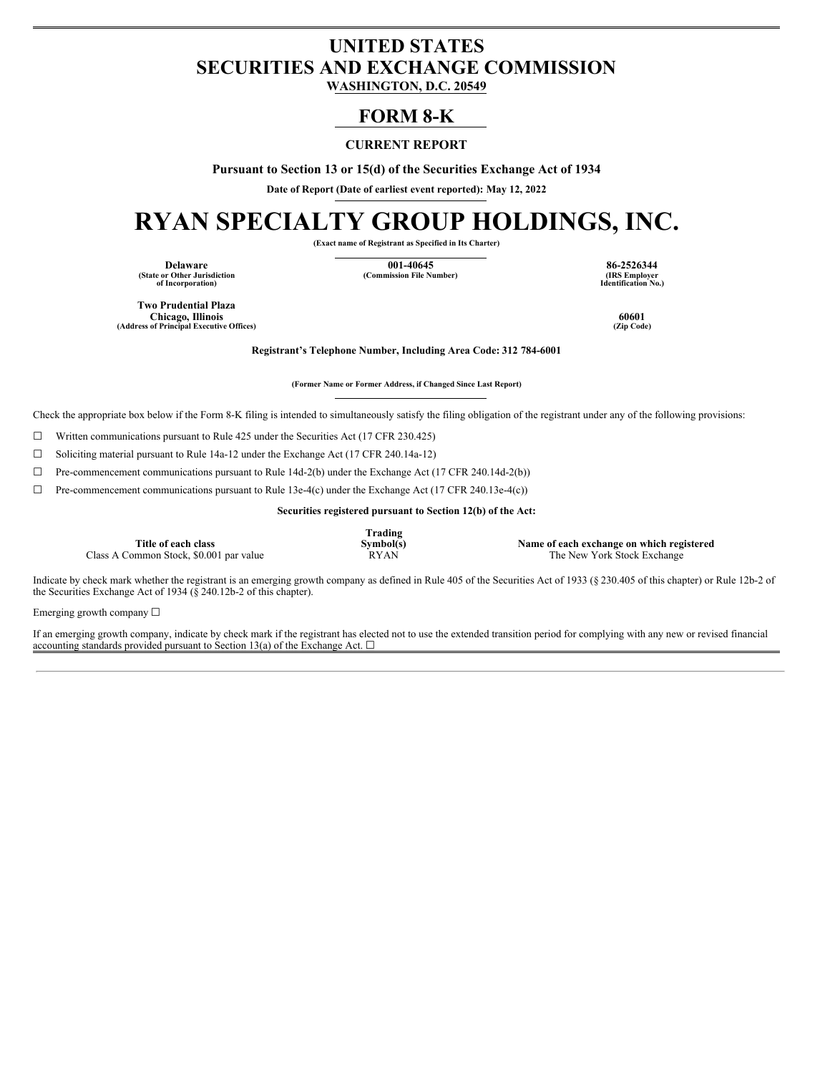# **UNITED STATES SECURITIES AND EXCHANGE COMMISSION**

**WASHINGTON, D.C. 20549**

# **FORM 8-K**

# **CURRENT REPORT**

**Pursuant to Section 13 or 15(d) of the Securities Exchange Act of 1934**

**Date of Report (Date of earliest event reported): May 12, 2022**

# **RYAN SPECIALTY GROUP HOLDINGS, INC.**

**(Exact name of Registrant as Specified in Its Charter)**

**(State or Other Jurisdiction of Incorporation)**

**Delaware 001-40645 86-2526344**  $(Commission File Number)$ 

**Identification No.)**

**Two Prudential Plaza Chicago, Illinois 60601 (Address of Principal Executive Offices) (Zip Code)**

**Registrant's Telephone Number, Including Area Code: 312 784-6001**

**(Former Name or Former Address, if Changed Since Last Report)**

Check the appropriate box below if the Form 8-K filing is intended to simultaneously satisfy the filing obligation of the registrant under any of the following provisions:

 $\Box$  Written communications pursuant to Rule 425 under the Securities Act (17 CFR 230.425)

☐ Soliciting material pursuant to Rule 14a-12 under the Exchange Act (17 CFR 240.14a-12)

☐ Pre-commencement communications pursuant to Rule 14d-2(b) under the Exchange Act (17 CFR 240.14d-2(b))

☐ Pre-commencement communications pursuant to Rule 13e-4(c) under the Exchange Act (17 CFR 240.13e-4(c))

**Securities registered pursuant to Section 12(b) of the Act:**

**Title of each class** Class A Common Stock, \$0.001 par value **Trading**

**Symbol(s)**<br>**Name of each exchange on which registered**<br>**RYAN** The New York Stock Exchange

Indicate by check mark whether the registrant is an emerging growth company as defined in Rule 405 of the Securities Act of 1933 (§ 230.405 of this chapter) or Rule 12b-2 of the Securities Exchange Act of 1934 ( $\S$  240.12b-2 of this chapter).

Emerging growth company ☐

If an emerging growth company, indicate by check mark if the registrant has elected not to use the extended transition period for complying with any new or revised financial accounting standards provided pursuant to Section 13(a) of the Exchange Act.  $\square$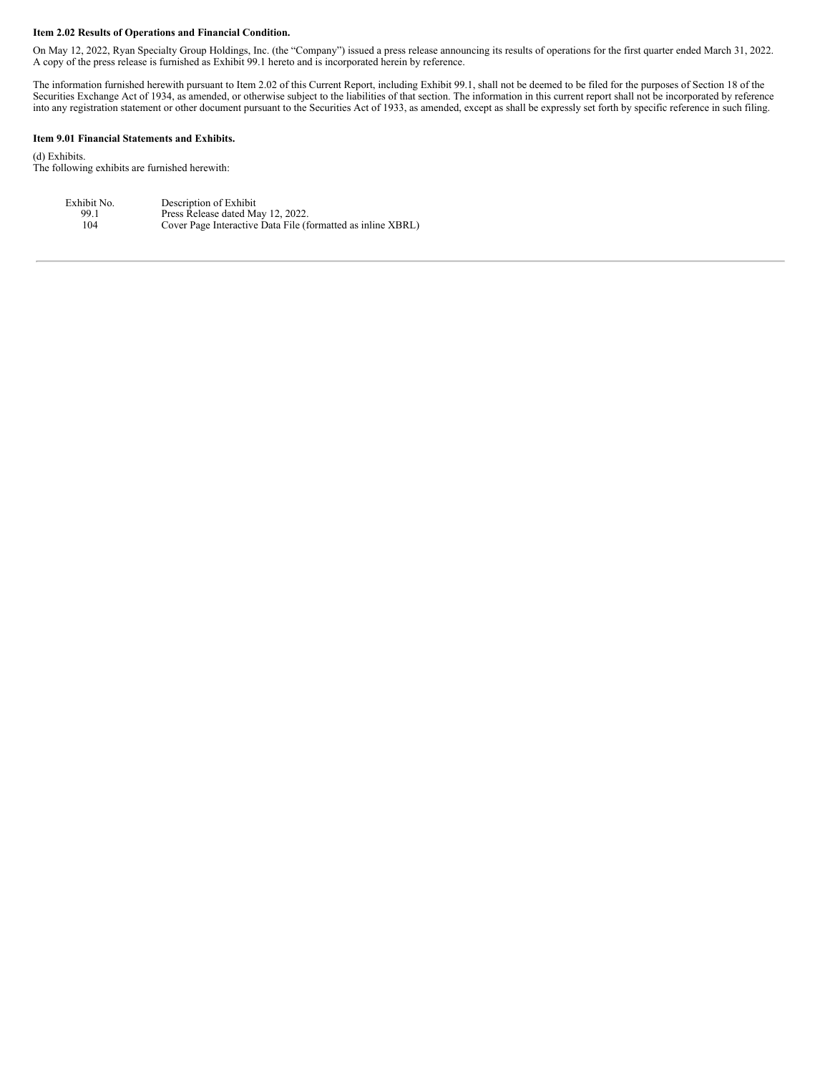#### **Item 2.02 Results of Operations and Financial Condition.**

On May 12, 2022, Ryan Specialty Group Holdings, Inc. (the "Company") issued a press release announcing its results of operations for the first quarter ended March 31, 2022. A copy of the press release is furnished as Exhibit 99.1 hereto and is incorporated herein by reference.

The information furnished herewith pursuant to Item 2.02 of this Current Report, including Exhibit 99.1, shall not be deemed to be filed for the purposes of Section 18 of the Securities Exchange Act of 1934, as amended, or otherwise subject to the liabilities of that section. The information in this current report shall not be incorporated by reference into any registration statement or other document pursuant to the Securities Act of 1933, as amended, except as shall be expressly set forth by specific reference in such filing.

#### **Item 9.01 Financial Statements and Exhibits.**

(d) Exhibits. The following exhibits are furnished herewith:

| Exhibit No. | Description of Exhibit                                      |
|-------------|-------------------------------------------------------------|
| 99.1        | Press Release dated May 12, 2022.                           |
| 104         | Cover Page Interactive Data File (formatted as inline XBRL) |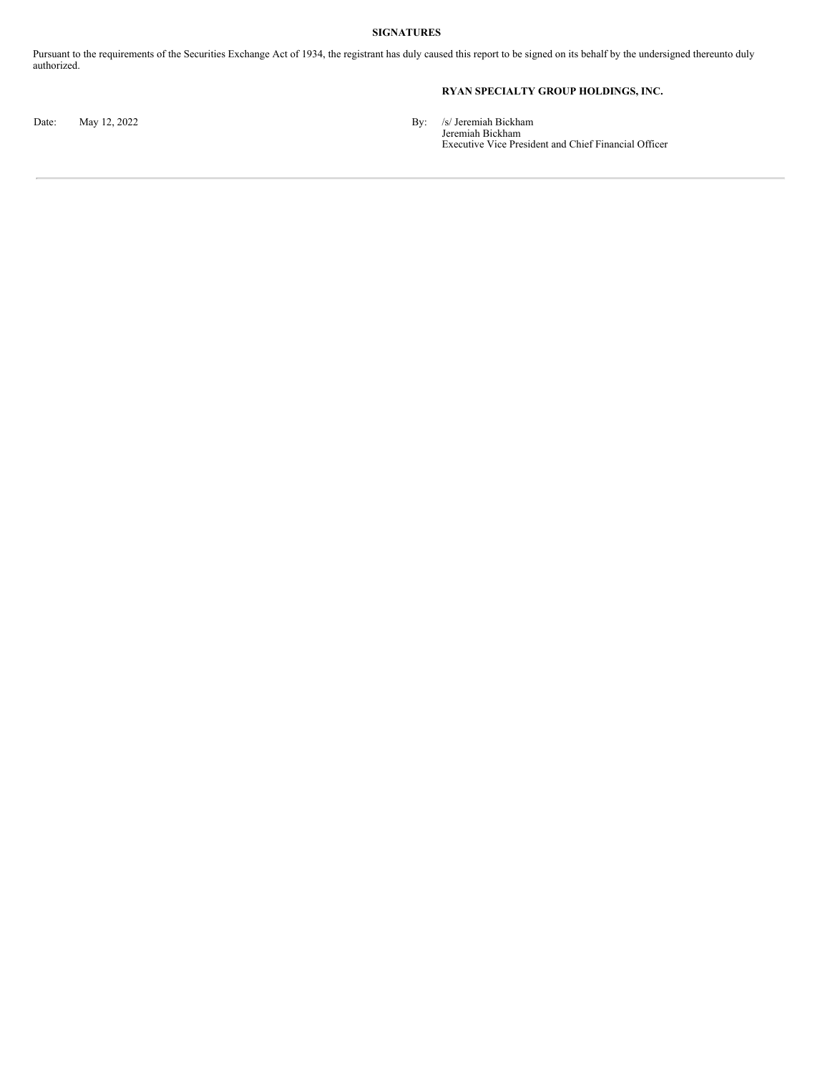# **SIGNATURES**

Pursuant to the requirements of the Securities Exchange Act of 1934, the registrant has duly caused this report to be signed on its behalf by the undersigned thereunto duly authorized.

# **RYAN SPECIALTY GROUP HOLDINGS, INC.**

Date: May 12, 2022 **By:** /s/ Jeremiah Bickham Jeremiah Bickham Executive Vice President and Chief Financial Officer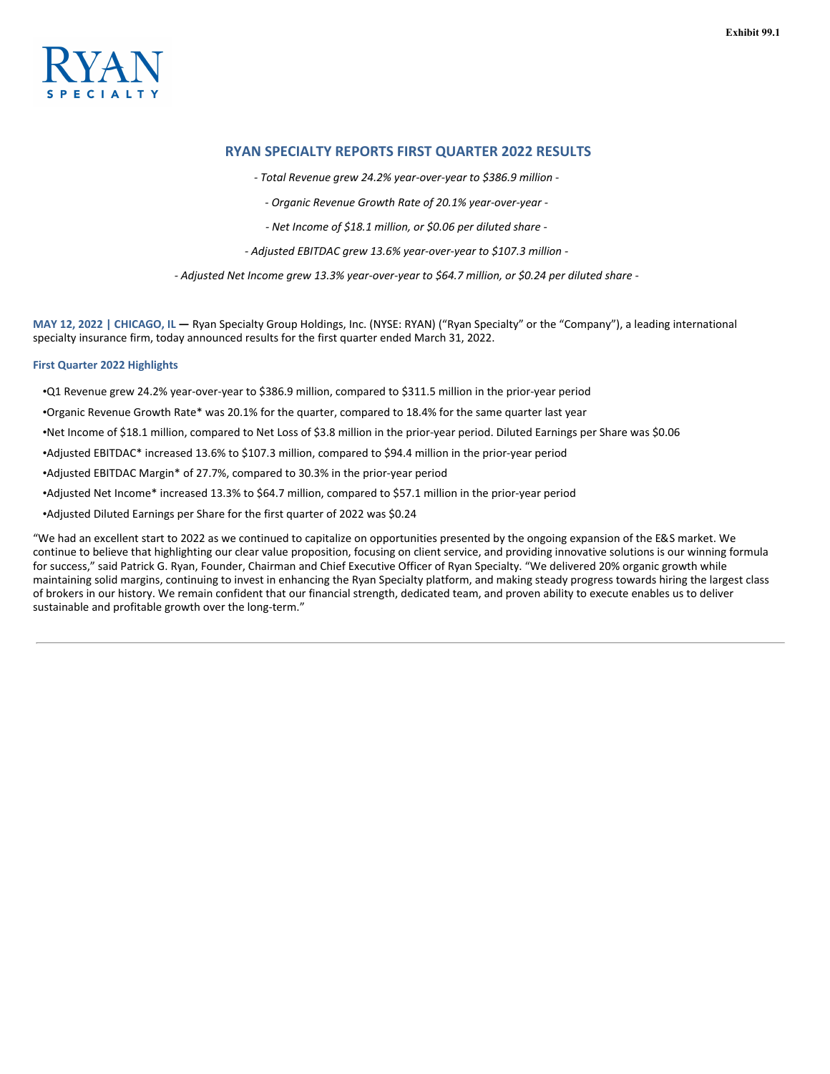

# **RYAN SPECIALTY REPORTS FIRST QUARTER 2022 RESULTS**

*- Total Revenue grew 24.2% year-over-year to \$386.9 million -*

*- Organic Revenue Growth Rate of 20.1% year-over-year -*

*- Net Income of \$18.1 million, or \$0.06 per diluted share -*

*- Adjusted EBITDAC grew 13.6% year-over-year to \$107.3 million -*

*- Adjusted Net Income grew 13.3% year-over-year to \$64.7 million, or \$0.24 per diluted share -*

**MAY 12, 2022 | CHICAGO, IL —** Ryan Specialty Group Holdings, Inc. (NYSE: RYAN) ("Ryan Specialty" or the "Company"), a leading international specialty insurance firm, today announced results for the first quarter ended March 31, 2022.

# **First Quarter 2022 Highlights**

•Q1 Revenue grew 24.2% year-over-year to \$386.9 million, compared to \$311.5 million in the prior-year period

•Organic Revenue Growth Rate\* was 20.1% for the quarter, compared to 18.4% for the same quarter last year

•Net Income of \$18.1 million, compared to Net Loss of \$3.8 million in the prior-year period. Diluted Earnings per Share was \$0.06

•Adjusted EBITDAC\* increased 13.6% to \$107.3 million, compared to \$94.4 million in the prior-year period

•Adjusted EBITDAC Margin\* of 27.7%, compared to 30.3% in the prior-year period

•Adjusted Net Income\* increased 13.3% to \$64.7 million, compared to \$57.1 million in the prior-year period

•Adjusted Diluted Earnings per Share for the first quarter of 2022 was \$0.24

"We had an excellent start to 2022 as we continued to capitalize on opportunities presented by the ongoing expansion of the E&S market. We continue to believe that highlighting our clear value proposition, focusing on client service, and providing innovative solutions is our winning formula for success," said Patrick G. Ryan, Founder, Chairman and Chief Executive Officer of Ryan Specialty. "We delivered 20% organic growth while maintaining solid margins, continuing to invest in enhancing the Ryan Specialty platform, and making steady progress towards hiring the largest class of brokers in our history. We remain confident that our financial strength, dedicated team, and proven ability to execute enables us to deliver sustainable and profitable growth over the long-term."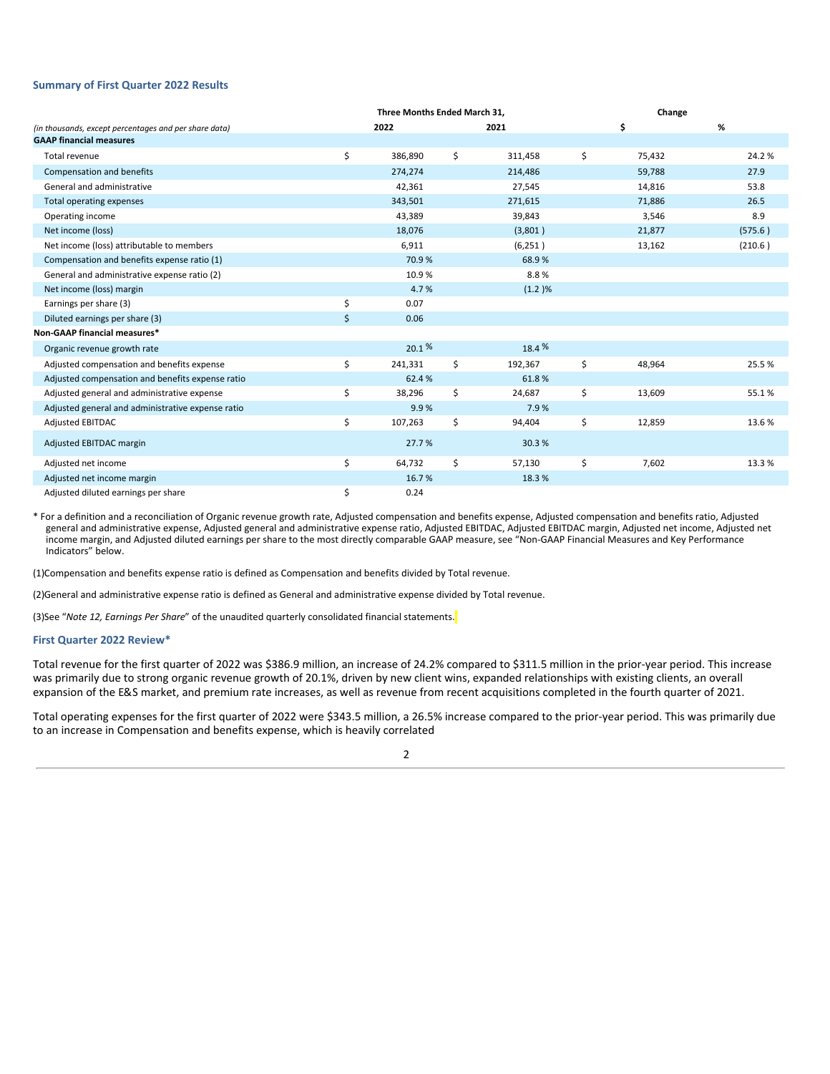#### **Summary of First Quarter 2022 Results**

|                                                       | Three Months Ended March 31. |               | Change       |         |
|-------------------------------------------------------|------------------------------|---------------|--------------|---------|
| (in thousands, except percentages and per share data) | 2022                         | 2021          | \$           | %       |
| <b>GAAP financial measures</b>                        |                              |               |              |         |
| Total revenue                                         | \$<br>386,890                | \$<br>311,458 | \$<br>75,432 | 24.2%   |
| Compensation and benefits                             | 274,274                      | 214,486       | 59,788       | 27.9    |
| General and administrative                            | 42,361                       | 27,545        | 14,816       | 53.8    |
| Total operating expenses                              | 343,501                      | 271,615       | 71,886       | 26.5    |
| Operating income                                      | 43,389                       | 39,843        | 3,546        | 8.9     |
| Net income (loss)                                     | 18,076                       | (3,801)       | 21,877       | (575.6) |
| Net income (loss) attributable to members             | 6,911                        | (6, 251)      | 13,162       | (210.6) |
| Compensation and benefits expense ratio (1)           | 70.9%                        | 68.9%         |              |         |
| General and administrative expense ratio (2)          | 10.9%                        | 8.8%          |              |         |
| Net income (loss) margin                              | 4.7%                         | (1.2)%        |              |         |
| Earnings per share (3)                                | \$<br>0.07                   |               |              |         |
| Diluted earnings per share (3)                        | \$<br>0.06                   |               |              |         |
| <b>Non-GAAP financial measures*</b>                   |                              |               |              |         |
| Organic revenue growth rate                           | $20.1\%$                     | 18.4 %        |              |         |
| Adjusted compensation and benefits expense            | \$<br>241,331                | \$<br>192,367 | \$<br>48,964 | 25.5%   |
| Adjusted compensation and benefits expense ratio      | 62.4%                        | 61.8%         |              |         |
| Adjusted general and administrative expense           | \$<br>38,296                 | \$<br>24,687  | \$<br>13,609 | 55.1%   |
| Adjusted general and administrative expense ratio     | 9.9%                         | 7.9%          |              |         |
| <b>Adjusted EBITDAC</b>                               | \$<br>107,263                | \$<br>94,404  | \$<br>12,859 | 13.6%   |
| Adjusted EBITDAC margin                               | 27.7%                        | 30.3%         |              |         |
| Adjusted net income                                   | \$<br>64,732                 | \$<br>57,130  | \$<br>7,602  | 13.3%   |
| Adjusted net income margin                            | 16.7%                        | 18.3%         |              |         |
| Adjusted diluted earnings per share                   | \$<br>0.24                   |               |              |         |

\* For a definition and a reconciliation of Organic revenue growth rate, Adjusted compensation and benefits expense, Adjusted compensation and benefits ratio, Adjusted general and administrative expense, Adjusted general and administrative expense ratio, Adjusted EBITDAC, Adjusted EBITDAC margin, Adjusted net income, Adjusted net income margin, and Adjusted diluted earnings per share to the most directly comparable GAAP measure, see "Non-GAAP Financial Measures and Key Performance Indicators" below.

(1)Compensation and benefits expense ratio is defined as Compensation and benefits divided by Total revenue.

(2)General and administrative expense ratio is defined as General and administrative expense divided by Total revenue.

(3)See "*Note 12, Earnings Per Share*" of the unaudited quarterly consolidated financial statements.

#### **First Quarter 2022 Review\***

Total revenue for the first quarter of 2022 was \$386.9 million, an increase of 24.2% compared to \$311.5 million in the prior-year period. This increase was primarily due to strong organic revenue growth of 20.1%, driven by new client wins, expanded relationships with existing clients, an overall expansion of the E&S market, and premium rate increases, as well as revenue from recent acquisitions completed in the fourth quarter of 2021.

Total operating expenses for the first quarter of 2022 were \$343.5 million, a 26.5% increase compared to the prior-year period. This was primarily due to an increase in Compensation and benefits expense, which is heavily correlated

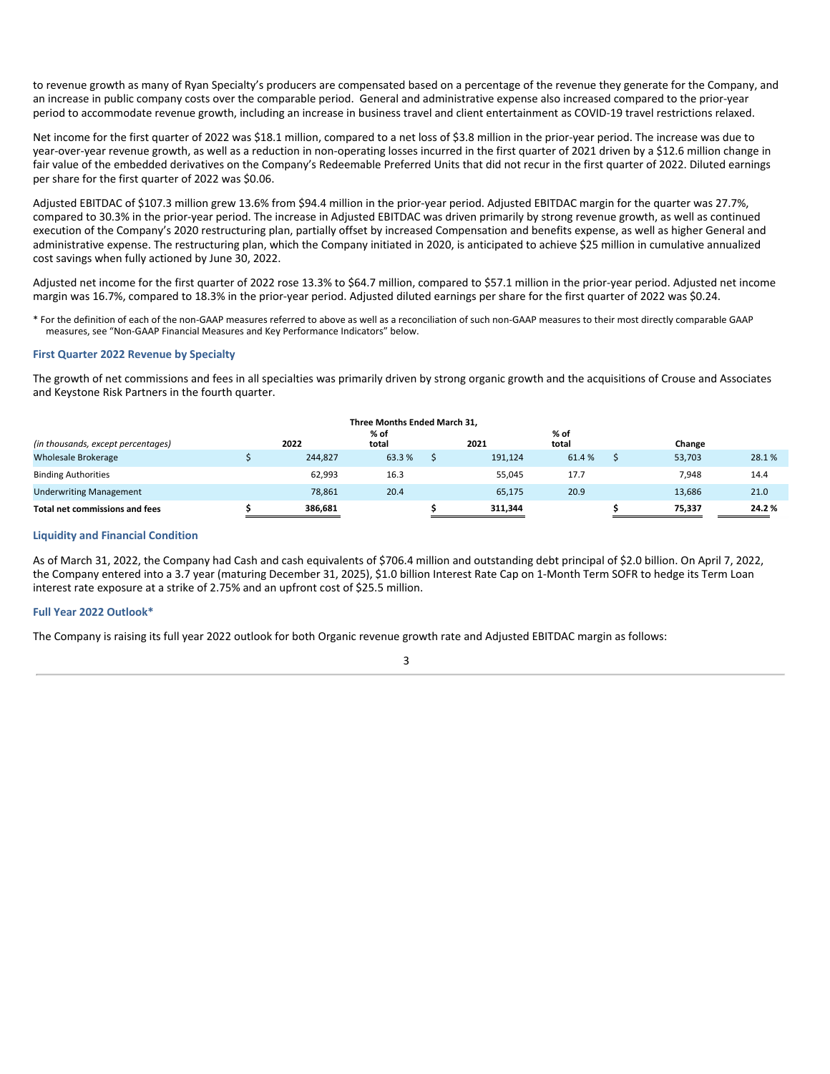to revenue growth as many of Ryan Specialty's producers are compensated based on a percentage of the revenue they generate for the Company, and an increase in public company costs over the comparable period. General and administrative expense also increased compared to the prior-year period to accommodate revenue growth, including an increase in business travel and client entertainment as COVID-19 travel restrictions relaxed.

Net income for the first quarter of 2022 was \$18.1 million, compared to a net loss of \$3.8 million in the prior-year period. The increase was due to year-over-year revenue growth, as well as a reduction in non-operating losses incurred in the first quarter of 2021 driven by a \$12.6 million change in fair value of the embedded derivatives on the Company's Redeemable Preferred Units that did not recur in the first quarter of 2022. Diluted earnings per share for the first quarter of 2022 was \$0.06.

Adjusted EBITDAC of \$107.3 million grew 13.6% from \$94.4 million in the prior-year period. Adjusted EBITDAC margin for the quarter was 27.7%, compared to 30.3% in the prior-year period. The increase in Adjusted EBITDAC was driven primarily by strong revenue growth, as well as continued execution of the Company's 2020 restructuring plan, partially offset by increased Compensation and benefits expense, as well as higher General and administrative expense. The restructuring plan, which the Company initiated in 2020, is anticipated to achieve \$25 million in cumulative annualized cost savings when fully actioned by June 30, 2022.

Adjusted net income for the first quarter of 2022 rose 13.3% to \$64.7 million, compared to \$57.1 million in the prior-year period. Adjusted net income margin was 16.7%, compared to 18.3% in the prior-year period. Adjusted diluted earnings per share for the first quarter of 2022 was \$0.24.

\* For the definition of each of the non-GAAP measures referred to above as well as a reconciliation of such non-GAAP measures to their most directly comparable GAAP measures, see "Non-GAAP Financial Measures and Key Performance Indicators" below.

# **First Quarter 2022 Revenue by Specialty**

The growth of net commissions and fees in all specialties was primarily driven by strong organic growth and the acquisitions of Crouse and Associates and Keystone Risk Partners in the fourth quarter.

| Three Months Ended March 31.       |  |         |               |  |         |               |  |        |       |
|------------------------------------|--|---------|---------------|--|---------|---------------|--|--------|-------|
| (in thousands, except percentages) |  | 2022    | % of<br>total |  | 2021    | % of<br>total |  | Change |       |
| <b>Wholesale Brokerage</b>         |  | 244,827 | 63.3%         |  | 191,124 | 61.4%         |  | 53,703 | 28.1% |
| <b>Binding Authorities</b>         |  | 62,993  | 16.3          |  | 55,045  | 17.7          |  | 7,948  | 14.4  |
| <b>Underwriting Management</b>     |  | 78,861  | 20.4          |  | 65,175  | 20.9          |  | 13,686 | 21.0  |
| Total net commissions and fees     |  | 386.681 |               |  | 311.344 |               |  | 75.337 | 24.2% |

#### **Liquidity and Financial Condition**

As of March 31, 2022, the Company had Cash and cash equivalents of \$706.4 million and outstanding debt principal of \$2.0 billion. On April 7, 2022, the Company entered into a 3.7 year (maturing December 31, 2025), \$1.0 billion Interest Rate Cap on 1-Month Term SOFR to hedge its Term Loan interest rate exposure at a strike of 2.75% and an upfront cost of \$25.5 million.

# **Full Year 2022 Outlook\***

The Company is raising its full year 2022 outlook for both Organic revenue growth rate and Adjusted EBITDAC margin as follows: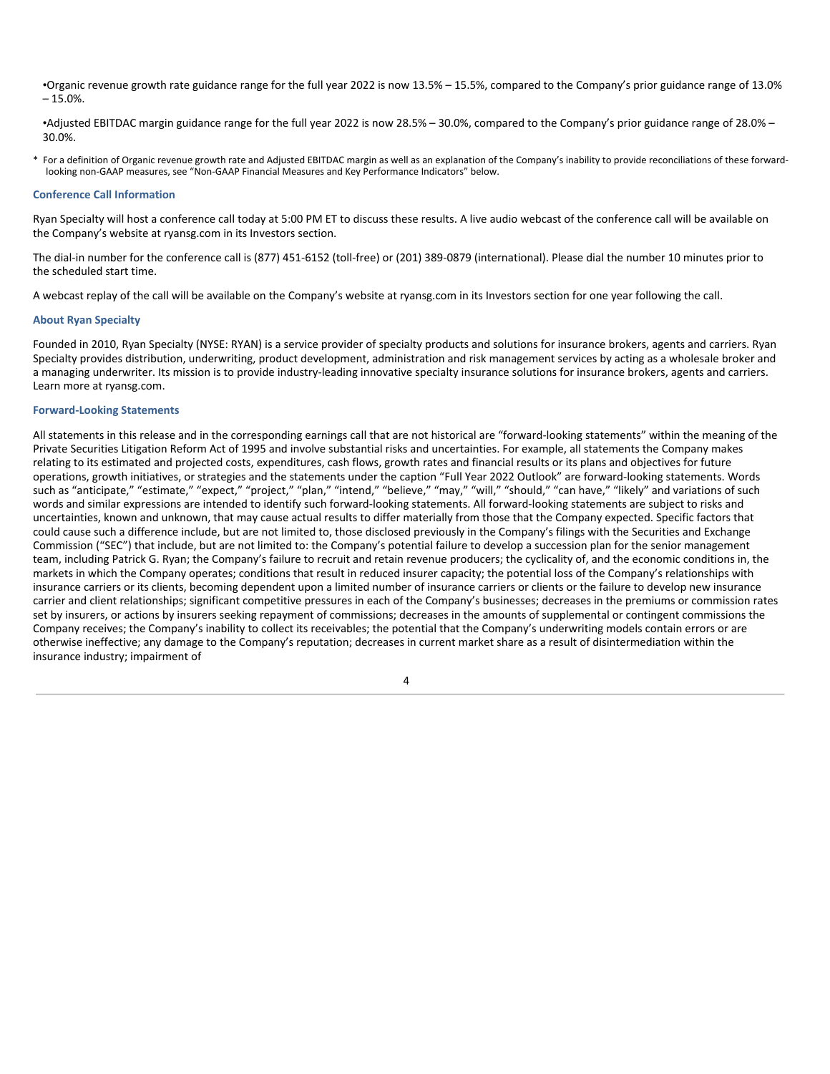•Organic revenue growth rate guidance range for the full year 2022 is now 13.5% – 15.5%, compared to the Company's prior guidance range of 13.0%  $-15.0%$ .

•Adjusted EBITDAC margin guidance range for the full year 2022 is now 28.5% – 30.0%, compared to the Company's prior guidance range of 28.0% – 30.0%.

\* For a definition of Organic revenue growth rate and Adjusted EBITDAC margin as well as an explanation of the Company's inability to provide reconciliations of these forwardlooking non-GAAP measures, see "Non-GAAP Financial Measures and Key Performance Indicators" below.

#### **Conference Call Information**

Ryan Specialty will host a conference call today at 5:00 PM ET to discuss these results. A live audio webcast of the conference call will be available on the Company's website at ryansg.com in its Investors section.

The dial-in number for the conference call is (877) 451-6152 (toll-free) or (201) 389-0879 (international). Please dial the number 10 minutes prior to the scheduled start time.

A webcast replay of the call will be available on the Company's website at ryansg.com in its Investors section for one year following the call.

#### **About Ryan Specialty**

Founded in 2010, Ryan Specialty (NYSE: RYAN) is a service provider of specialty products and solutions for insurance brokers, agents and carriers. Ryan Specialty provides distribution, underwriting, product development, administration and risk management services by acting as a wholesale broker and a managing underwriter. Its mission is to provide industry-leading innovative specialty insurance solutions for insurance brokers, agents and carriers. Learn more at ryansg.com.

# **Forward-Looking Statements**

All statements in this release and in the corresponding earnings call that are not historical are "forward-looking statements" within the meaning of the Private Securities Litigation Reform Act of 1995 and involve substantial risks and uncertainties. For example, all statements the Company makes relating to its estimated and projected costs, expenditures, cash flows, growth rates and financial results or its plans and objectives for future operations, growth initiatives, or strategies and the statements under the caption "Full Year 2022 Outlook" are forward-looking statements. Words such as "anticipate," "estimate," "expect," "project," "plan," "intend," "believe," "may," "will," "should," "can have," "likely" and variations of such words and similar expressions are intended to identify such forward-looking statements. All forward-looking statements are subject to risks and uncertainties, known and unknown, that may cause actual results to differ materially from those that the Company expected. Specific factors that could cause such a difference include, but are not limited to, those disclosed previously in the Company's filings with the Securities and Exchange Commission ("SEC") that include, but are not limited to: the Company's potential failure to develop a succession plan for the senior management team, including Patrick G. Ryan; the Company's failure to recruit and retain revenue producers; the cyclicality of, and the economic conditions in, the markets in which the Company operates; conditions that result in reduced insurer capacity; the potential loss of the Company's relationships with insurance carriers or its clients, becoming dependent upon a limited number of insurance carriers or clients or the failure to develop new insurance carrier and client relationships; significant competitive pressures in each of the Company's businesses; decreases in the premiums or commission rates set by insurers, or actions by insurers seeking repayment of commissions; decreases in the amounts of supplemental or contingent commissions the Company receives; the Company's inability to collect its receivables; the potential that the Company's underwriting models contain errors or are otherwise ineffective; any damage to the Company's reputation; decreases in current market share as a result of disintermediation within the insurance industry; impairment of

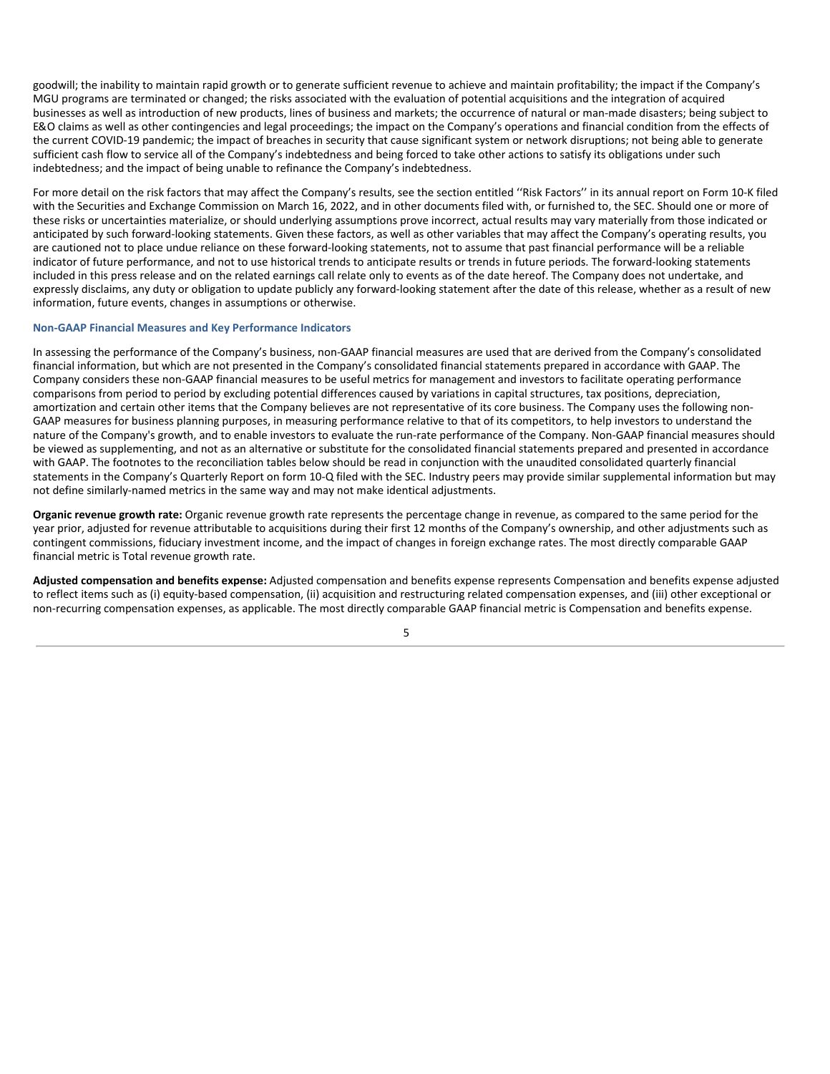goodwill; the inability to maintain rapid growth or to generate sufficient revenue to achieve and maintain profitability; the impact if the Company's MGU programs are terminated or changed; the risks associated with the evaluation of potential acquisitions and the integration of acquired businesses as well as introduction of new products, lines of business and markets; the occurrence of natural or man-made disasters; being subject to E&O claims as well as other contingencies and legal proceedings; the impact on the Company's operations and financial condition from the effects of the current COVID-19 pandemic; the impact of breaches in security that cause significant system or network disruptions; not being able to generate sufficient cash flow to service all of the Company's indebtedness and being forced to take other actions to satisfy its obligations under such indebtedness; and the impact of being unable to refinance the Company's indebtedness.

For more detail on the risk factors that may affect the Company's results, see the section entitled ''Risk Factors'' in its annual report on Form 10-K filed with the Securities and Exchange Commission on March 16, 2022, and in other documents filed with, or furnished to, the SEC. Should one or more of these risks or uncertainties materialize, or should underlying assumptions prove incorrect, actual results may vary materially from those indicated or anticipated by such forward-looking statements. Given these factors, as well as other variables that may affect the Company's operating results, you are cautioned not to place undue reliance on these forward-looking statements, not to assume that past financial performance will be a reliable indicator of future performance, and not to use historical trends to anticipate results or trends in future periods. The forward-looking statements included in this press release and on the related earnings call relate only to events as of the date hereof. The Company does not undertake, and expressly disclaims, any duty or obligation to update publicly any forward-looking statement after the date of this release, whether as a result of new information, future events, changes in assumptions or otherwise.

# **Non-GAAP Financial Measures and Key Performance Indicators**

In assessing the performance of the Company's business, non-GAAP financial measures are used that are derived from the Company's consolidated financial information, but which are not presented in the Company's consolidated financial statements prepared in accordance with GAAP. The Company considers these non-GAAP financial measures to be useful metrics for management and investors to facilitate operating performance comparisons from period to period by excluding potential differences caused by variations in capital structures, tax positions, depreciation, amortization and certain other items that the Company believes are not representative of its core business. The Company uses the following non-GAAP measures for business planning purposes, in measuring performance relative to that of its competitors, to help investors to understand the nature of the Company's growth, and to enable investors to evaluate the run-rate performance of the Company. Non-GAAP financial measures should be viewed as supplementing, and not as an alternative or substitute for the consolidated financial statements prepared and presented in accordance with GAAP. The footnotes to the reconciliation tables below should be read in conjunction with the unaudited consolidated quarterly financial statements in the Company's Quarterly Report on form 10-Q filed with the SEC. Industry peers may provide similar supplemental information but may not define similarly-named metrics in the same way and may not make identical adjustments.

**Organic revenue growth rate:** Organic revenue growth rate represents the percentage change in revenue, as compared to the same period for the year prior, adjusted for revenue attributable to acquisitions during their first 12 months of the Company's ownership, and other adjustments such as contingent commissions, fiduciary investment income, and the impact of changes in foreign exchange rates. The most directly comparable GAAP financial metric is Total revenue growth rate.

**Adjusted compensation and benefits expense:** Adjusted compensation and benefits expense represents Compensation and benefits expense adjusted to reflect items such as (i) equity-based compensation, (ii) acquisition and restructuring related compensation expenses, and (iii) other exceptional or non-recurring compensation expenses, as applicable. The most directly comparable GAAP financial metric is Compensation and benefits expense.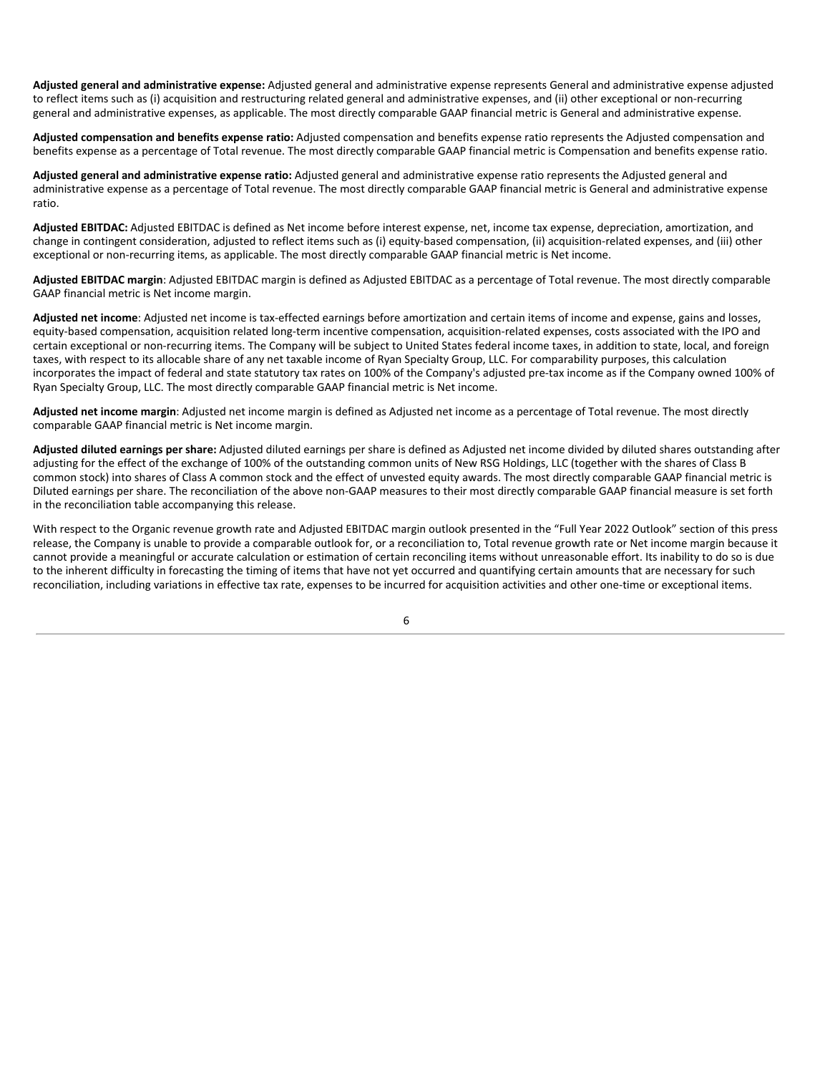**Adjusted general and administrative expense:** Adjusted general and administrative expense represents General and administrative expense adjusted to reflect items such as (i) acquisition and restructuring related general and administrative expenses, and (ii) other exceptional or non-recurring general and administrative expenses, as applicable. The most directly comparable GAAP financial metric is General and administrative expense.

**Adjusted compensation and benefits expense ratio:** Adjusted compensation and benefits expense ratio represents the Adjusted compensation and benefits expense as a percentage of Total revenue. The most directly comparable GAAP financial metric is Compensation and benefits expense ratio.

**Adjusted general and administrative expense ratio:** Adjusted general and administrative expense ratio represents the Adjusted general and administrative expense as a percentage of Total revenue. The most directly comparable GAAP financial metric is General and administrative expense ratio.

**Adjusted EBITDAC:** Adjusted EBITDAC is defined as Net income before interest expense, net, income tax expense, depreciation, amortization, and change in contingent consideration, adjusted to reflect items such as (i) equity-based compensation, (ii) acquisition-related expenses, and (iii) other exceptional or non-recurring items, as applicable. The most directly comparable GAAP financial metric is Net income.

**Adjusted EBITDAC margin**: Adjusted EBITDAC margin is defined as Adjusted EBITDAC as a percentage of Total revenue. The most directly comparable GAAP financial metric is Net income margin.

**Adjusted net income**: Adjusted net income is tax-effected earnings before amortization and certain items of income and expense, gains and losses, equity-based compensation, acquisition related long-term incentive compensation, acquisition-related expenses, costs associated with the IPO and certain exceptional or non-recurring items. The Company will be subject to United States federal income taxes, in addition to state, local, and foreign taxes, with respect to its allocable share of any net taxable income of Ryan Specialty Group, LLC. For comparability purposes, this calculation incorporates the impact of federal and state statutory tax rates on 100% of the Company's adjusted pre-tax income as if the Company owned 100% of Ryan Specialty Group, LLC. The most directly comparable GAAP financial metric is Net income.

**Adjusted net income margin**: Adjusted net income margin is defined as Adjusted net income as a percentage of Total revenue. The most directly comparable GAAP financial metric is Net income margin.

**Adjusted diluted earnings per share:** Adjusted diluted earnings per share is defined as Adjusted net income divided by diluted shares outstanding after adjusting for the effect of the exchange of 100% of the outstanding common units of New RSG Holdings, LLC (together with the shares of Class B common stock) into shares of Class A common stock and the effect of unvested equity awards. The most directly comparable GAAP financial metric is Diluted earnings per share. The reconciliation of the above non-GAAP measures to their most directly comparable GAAP financial measure is set forth in the reconciliation table accompanying this release.

With respect to the Organic revenue growth rate and Adjusted EBITDAC margin outlook presented in the "Full Year 2022 Outlook" section of this press release, the Company is unable to provide a comparable outlook for, or a reconciliation to, Total revenue growth rate or Net income margin because it cannot provide a meaningful or accurate calculation or estimation of certain reconciling items without unreasonable effort. Its inability to do so is due to the inherent difficulty in forecasting the timing of items that have not yet occurred and quantifying certain amounts that are necessary for such reconciliation, including variations in effective tax rate, expenses to be incurred for acquisition activities and other one-time or exceptional items.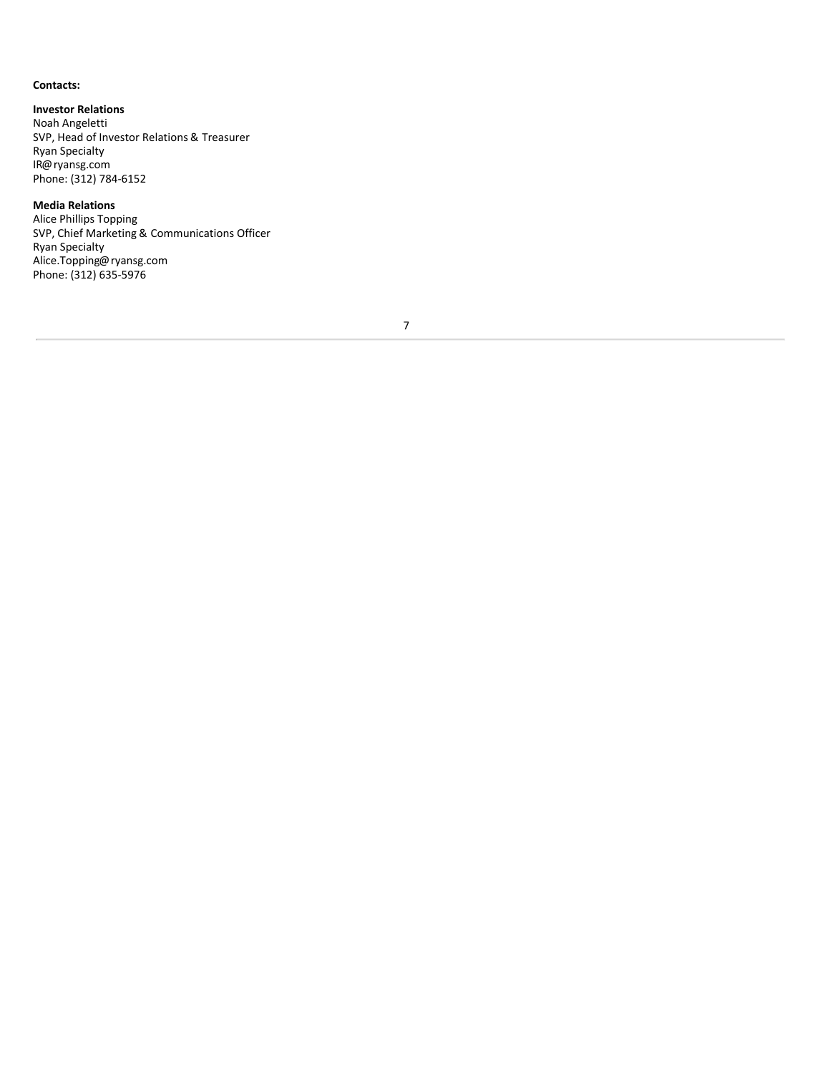# **Contacts:**

**Investor Relations** Noah Angeletti SVP, Head of Investor Relations & Treasurer Ryan Specialty IR@ryansg.com Phone: (312) 784-6152

# **Media Relations**

Alice Phillips Topping SVP, Chief Marketing & Communications Officer Ryan Specialty Alice.Topping@ryansg.com Phone: (312) 635-5976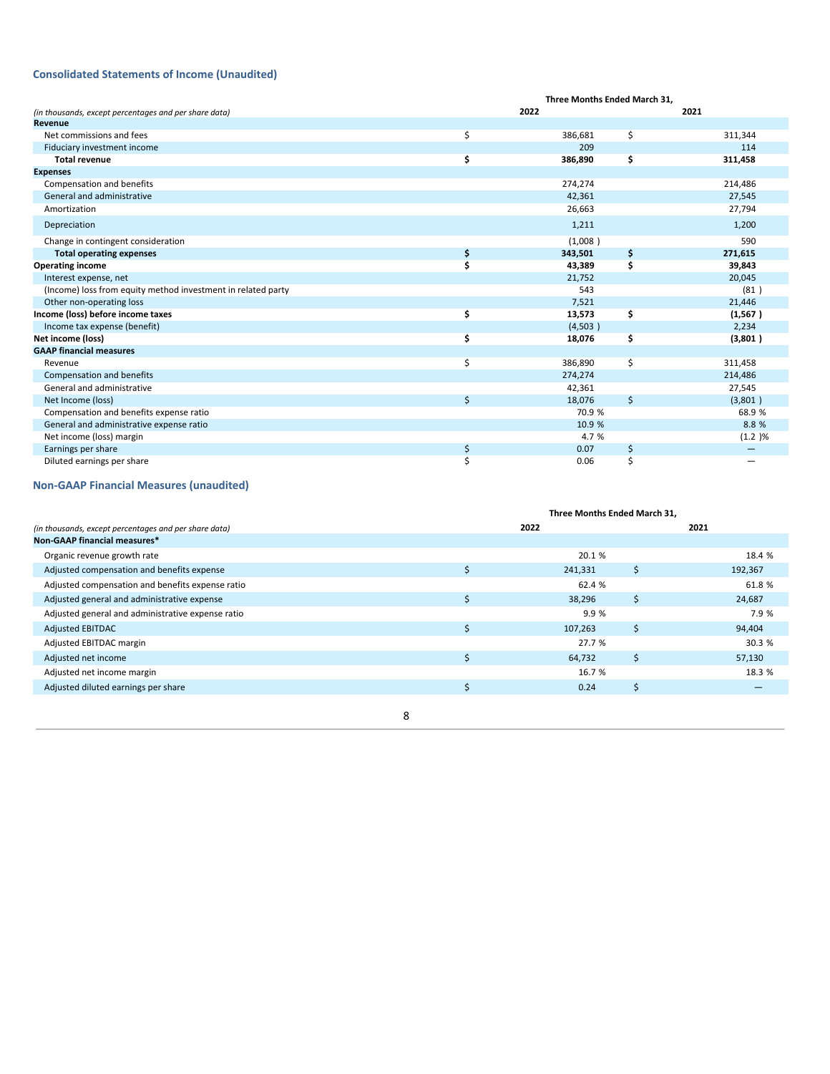# **Consolidated Statements of Income (Unaudited)**

|                                                              |    | Three Months Ended March 31. |    |          |  |
|--------------------------------------------------------------|----|------------------------------|----|----------|--|
| (in thousands, except percentages and per share data)        |    | 2022                         |    | 2021     |  |
| Revenue                                                      |    |                              |    |          |  |
| Net commissions and fees                                     | \$ | 386,681                      | \$ | 311,344  |  |
| Fiduciary investment income                                  |    | 209                          |    | 114      |  |
| <b>Total revenue</b>                                         | \$ | 386,890                      | \$ | 311,458  |  |
| <b>Expenses</b>                                              |    |                              |    |          |  |
| Compensation and benefits                                    |    | 274,274                      |    | 214,486  |  |
| General and administrative                                   |    | 42,361                       |    | 27,545   |  |
| Amortization                                                 |    | 26,663                       |    | 27,794   |  |
| Depreciation                                                 |    | 1,211                        |    | 1,200    |  |
| Change in contingent consideration                           |    | (1,008)                      |    | 590      |  |
| <b>Total operating expenses</b>                              | \$ | 343,501                      | \$ | 271,615  |  |
| <b>Operating income</b>                                      | Ś  | 43,389                       | \$ | 39,843   |  |
| Interest expense, net                                        |    | 21,752                       |    | 20,045   |  |
| (Income) loss from equity method investment in related party |    | 543                          |    | (81)     |  |
| Other non-operating loss                                     |    | 7,521                        |    | 21,446   |  |
| Income (loss) before income taxes                            | \$ | 13,573                       | \$ | (1, 567) |  |
| Income tax expense (benefit)                                 |    | (4,503)                      |    | 2,234    |  |
| Net income (loss)                                            | \$ | 18,076                       | \$ | (3,801)  |  |
| <b>GAAP financial measures</b>                               |    |                              |    |          |  |
| Revenue                                                      | \$ | 386,890                      | \$ | 311,458  |  |
| Compensation and benefits                                    |    | 274,274                      |    | 214,486  |  |
| General and administrative                                   |    | 42,361                       |    | 27,545   |  |
| Net Income (loss)                                            | Ś. | 18,076                       | \$ | (3,801)  |  |
| Compensation and benefits expense ratio                      |    | 70.9 %                       |    | 68.9%    |  |
| General and administrative expense ratio                     |    | 10.9 %                       |    | 8.8%     |  |
| Net income (loss) margin                                     |    | 4.7 %                        |    | (1.2)%   |  |
| Earnings per share                                           | \$ | 0.07                         | \$ |          |  |
| Diluted earnings per share                                   |    | 0.06                         | Ś  |          |  |

# **Non-GAAP Financial Measures (unaudited)**

|                                                       | Three Months Ended March 31, |         |      |         |  |
|-------------------------------------------------------|------------------------------|---------|------|---------|--|
| (in thousands, except percentages and per share data) |                              | 2022    | 2021 |         |  |
| Non-GAAP financial measures*                          |                              |         |      |         |  |
| Organic revenue growth rate                           |                              | 20.1 %  |      | 18.4 %  |  |
| Adjusted compensation and benefits expense            |                              | 241,331 | \$   | 192,367 |  |
| Adjusted compensation and benefits expense ratio      |                              | 62.4 %  |      | 61.8 %  |  |
| Adjusted general and administrative expense           | Ś                            | 38,296  | \$   | 24,687  |  |
| Adjusted general and administrative expense ratio     |                              | 9.9 %   |      | 7.9 %   |  |
| <b>Adjusted EBITDAC</b>                               | Ś                            | 107,263 | Ŝ.   | 94,404  |  |
| Adjusted EBITDAC margin                               |                              | 27.7 %  |      | 30.3 %  |  |
| Adjusted net income                                   |                              | 64,732  | \$   | 57,130  |  |
| Adjusted net income margin                            |                              | 16.7 %  |      | 18.3 %  |  |
| Adjusted diluted earnings per share                   |                              | 0.24    | \$.  |         |  |
|                                                       |                              |         |      |         |  |
|                                                       | 8                            |         |      |         |  |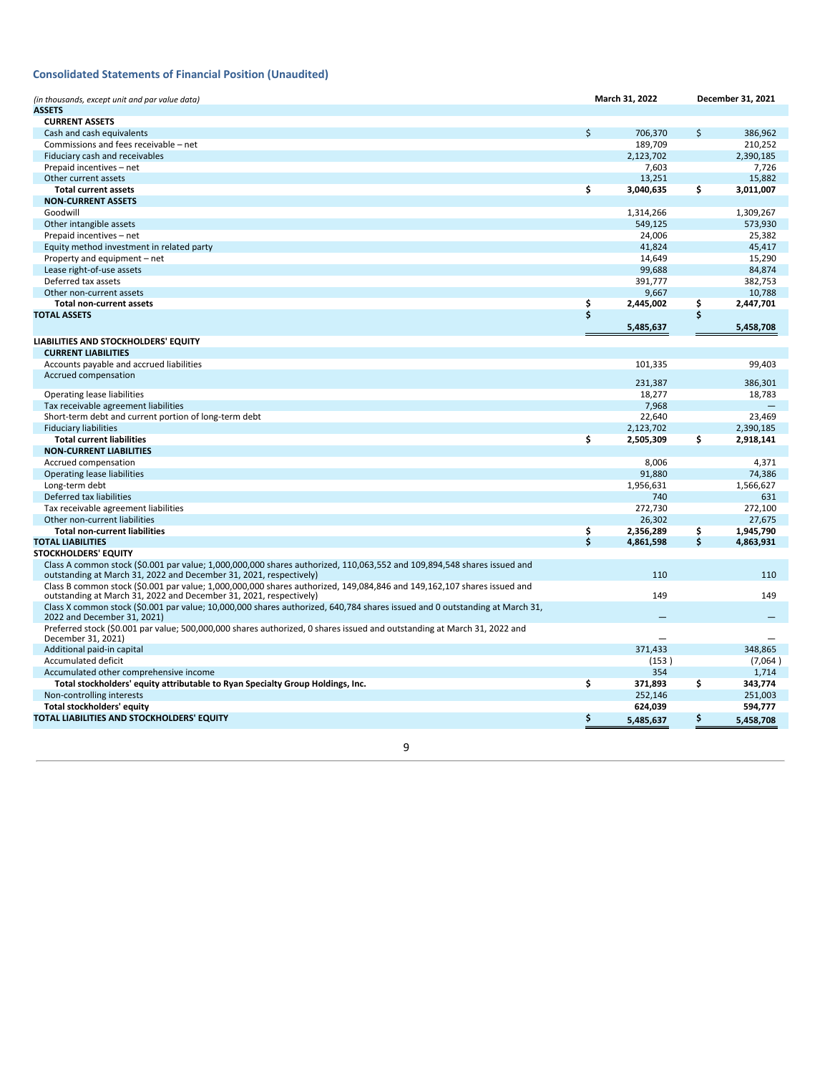# **Consolidated Statements of Financial Position (Unaudited)**

| (in thousands, except unit and par value data)<br><b>ASSETS</b>                                                                                                                               | March 31, 2022  |                         | December 31, 2021 |
|-----------------------------------------------------------------------------------------------------------------------------------------------------------------------------------------------|-----------------|-------------------------|-------------------|
| <b>CURRENT ASSETS</b>                                                                                                                                                                         |                 |                         |                   |
| Cash and cash equivalents                                                                                                                                                                     | \$<br>706.370   | \$                      | 386,962           |
| Commissions and fees receivable - net                                                                                                                                                         | 189,709         |                         | 210,252           |
| Fiduciary cash and receivables                                                                                                                                                                | 2,123,702       |                         | 2,390,185         |
| Prepaid incentives - net                                                                                                                                                                      | 7,603           |                         | 7,726             |
| Other current assets                                                                                                                                                                          | 13,251          |                         | 15.882            |
| <b>Total current assets</b>                                                                                                                                                                   | \$<br>3,040,635 | \$                      | 3,011,007         |
| <b>NON-CURRENT ASSETS</b>                                                                                                                                                                     |                 |                         |                   |
| Goodwill                                                                                                                                                                                      | 1,314,266       |                         | 1,309,267         |
| Other intangible assets                                                                                                                                                                       | 549,125         |                         | 573,930           |
| Prepaid incentives - net                                                                                                                                                                      | 24,006          |                         | 25,382            |
| Equity method investment in related party                                                                                                                                                     | 41.824          |                         | 45,417            |
| Property and equipment - net                                                                                                                                                                  | 14,649          |                         | 15,290            |
| Lease right-of-use assets                                                                                                                                                                     | 99,688          |                         | 84,874            |
| Deferred tax assets                                                                                                                                                                           | 391,777         |                         | 382,753           |
| Other non-current assets                                                                                                                                                                      | 9,667           |                         | 10,788            |
| <b>Total non-current assets</b>                                                                                                                                                               | \$<br>2,445,002 | \$                      | 2,447,701         |
| <b>TOTAL ASSETS</b>                                                                                                                                                                           | \$              | \$                      |                   |
|                                                                                                                                                                                               | 5,485,637       |                         | 5,458,708         |
| LIABILITIES AND STOCKHOLDERS' EQUITY<br><b>CURRENT LIABILITIES</b>                                                                                                                            |                 |                         |                   |
| Accounts payable and accrued liabilities                                                                                                                                                      | 101,335         |                         | 99,403            |
| Accrued compensation                                                                                                                                                                          |                 |                         |                   |
|                                                                                                                                                                                               | 231,387         |                         | 386,301           |
| <b>Operating lease liabilities</b>                                                                                                                                                            | 18,277          |                         | 18,783            |
| Tax receivable agreement liabilities                                                                                                                                                          | 7,968           |                         |                   |
| Short-term debt and current portion of long-term debt                                                                                                                                         | 22,640          |                         | 23.469            |
| <b>Fiduciary liabilities</b>                                                                                                                                                                  | 2,123,702       |                         | 2,390,185         |
| <b>Total current liabilities</b>                                                                                                                                                              | \$<br>2,505,309 | \$                      | 2,918,141         |
| <b>NON-CURRENT LIABILITIES</b>                                                                                                                                                                |                 |                         | 4.371             |
| Accrued compensation<br>Operating lease liabilities                                                                                                                                           | 8.006<br>91,880 |                         | 74,386            |
|                                                                                                                                                                                               | 1,956,631       |                         | 1,566,627         |
| Long-term debt<br>Deferred tax liabilities                                                                                                                                                    | 740             |                         | 631               |
| Tax receivable agreement liabilities                                                                                                                                                          | 272,730         |                         | 272,100           |
| Other non-current liabilities                                                                                                                                                                 | 26.302          |                         | 27.675            |
| <b>Total non-current liabilities</b>                                                                                                                                                          | \$<br>2,356,289 | $\overline{\mathsf{S}}$ | 1,945,790         |
| <b>TOTAL LIABILITIES</b>                                                                                                                                                                      | \$<br>4,861,598 | \$                      | 4,863,931         |
| <b>STOCKHOLDERS' EQUITY</b>                                                                                                                                                                   |                 |                         |                   |
| Class A common stock (\$0.001 par value; 1,000,000,000 shares authorized, 110,063,552 and 109,894,548 shares issued and<br>outstanding at March 31, 2022 and December 31, 2021, respectively) | 110             |                         | 110               |
| Class B common stock (\$0.001 par value; 1,000,000,000 shares authorized, 149,084,846 and 149,162,107 shares issued and<br>outstanding at March 31, 2022 and December 31, 2021, respectively) | 149             |                         | 149               |
| Class X common stock (\$0.001 par value; 10,000,000 shares authorized, 640,784 shares issued and 0 outstanding at March 31,<br>2022 and December 31, 2021)                                    |                 |                         |                   |
| Preferred stock (\$0.001 par value; 500,000,000 shares authorized, 0 shares issued and outstanding at March 31, 2022 and<br>December 31, 2021)                                                |                 |                         |                   |
| Additional paid-in capital                                                                                                                                                                    | 371,433         |                         | 348,865           |
| <b>Accumulated deficit</b>                                                                                                                                                                    | (153)           |                         | (7,064)           |
| Accumulated other comprehensive income                                                                                                                                                        | 354             |                         | 1,714             |
| Total stockholders' equity attributable to Ryan Specialty Group Holdings, Inc.                                                                                                                | \$<br>371,893   | \$                      | 343,774           |
| Non-controlling interests                                                                                                                                                                     | 252,146         |                         | 251,003           |
| <b>Total stockholders' equity</b>                                                                                                                                                             | 624,039         |                         | 594,777           |
| TOTAL LIABILITIES AND STOCKHOLDERS' EQUITY                                                                                                                                                    | \$<br>5,485,637 | Ş                       | 5,458,708         |
|                                                                                                                                                                                               |                 |                         |                   |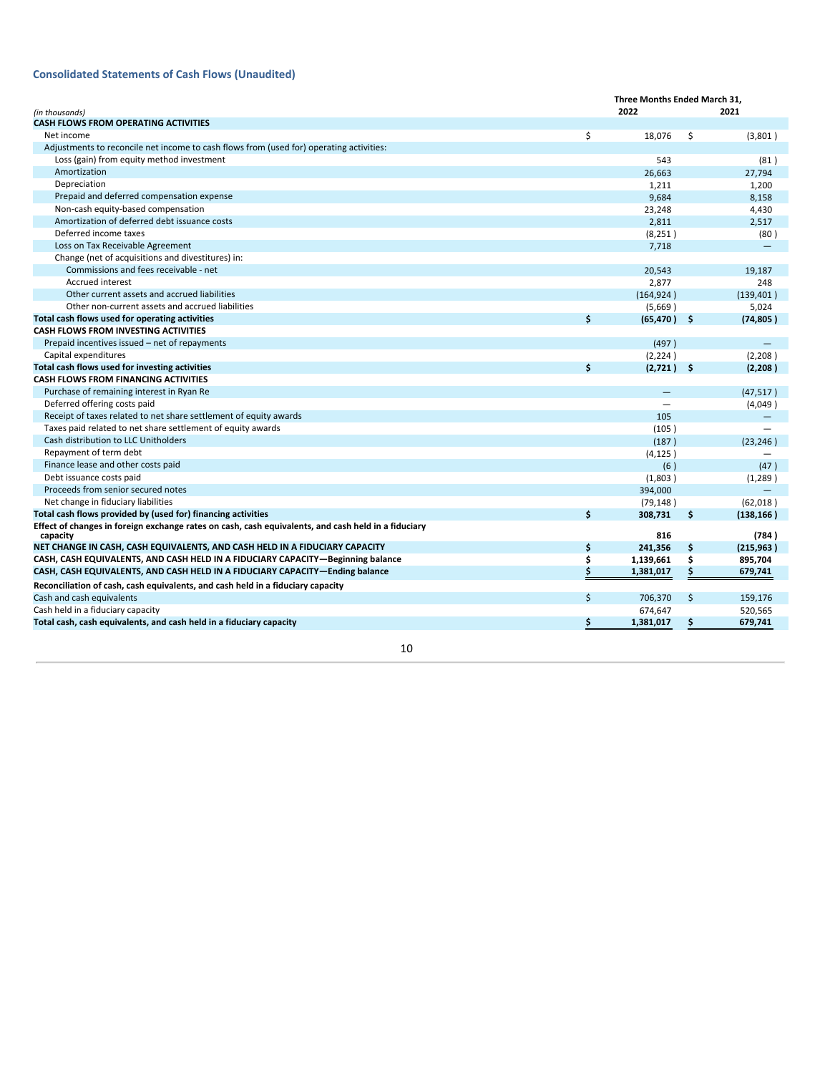# **Consolidated Statements of Cash Flows (Unaudited)**

|                                                                                                                 | Three Months Ended March 31. |                |     |                   |  |  |
|-----------------------------------------------------------------------------------------------------------------|------------------------------|----------------|-----|-------------------|--|--|
| (in thousands)                                                                                                  |                              | 2022           |     | 2021              |  |  |
| <b>CASH FLOWS FROM OPERATING ACTIVITIES</b>                                                                     |                              |                |     |                   |  |  |
| Net income                                                                                                      | \$                           | 18,076         | \$  | (3,801)           |  |  |
| Adjustments to reconcile net income to cash flows from (used for) operating activities:                         |                              |                |     |                   |  |  |
| Loss (gain) from equity method investment                                                                       |                              | 543            |     | (81)              |  |  |
| Amortization                                                                                                    |                              | 26,663         |     | 27,794            |  |  |
| Depreciation                                                                                                    |                              | 1,211          |     | 1,200             |  |  |
| Prepaid and deferred compensation expense                                                                       |                              | 9,684          |     | 8,158             |  |  |
| Non-cash equity-based compensation                                                                              |                              | 23,248         |     | 4,430             |  |  |
| Amortization of deferred debt issuance costs                                                                    |                              | 2,811          |     | 2,517             |  |  |
| Deferred income taxes                                                                                           |                              | (8, 251)       |     | (80)              |  |  |
| Loss on Tax Receivable Agreement                                                                                |                              | 7,718          |     |                   |  |  |
| Change (net of acquisitions and divestitures) in:                                                               |                              |                |     |                   |  |  |
| Commissions and fees receivable - net                                                                           |                              | 20,543         |     | 19,187            |  |  |
| <b>Accrued interest</b>                                                                                         |                              | 2,877          |     | 248               |  |  |
| Other current assets and accrued liabilities                                                                    |                              | (164, 924)     |     | (139, 401)        |  |  |
| Other non-current assets and accrued liabilities                                                                |                              | (5,669)        |     | 5,024             |  |  |
| Total cash flows used for operating activities                                                                  | \$                           | $(65, 470)$ \$ |     | (74, 805)         |  |  |
| CASH FLOWS FROM INVESTING ACTIVITIES                                                                            |                              |                |     |                   |  |  |
| Prepaid incentives issued – net of repayments                                                                   |                              | (497)          |     |                   |  |  |
| Capital expenditures                                                                                            |                              | (2, 224)       |     | (2,208)           |  |  |
| Total cash flows used for investing activities                                                                  | \$                           | (2,721)        | \$. | (2, 208)          |  |  |
| <b>CASH FLOWS FROM FINANCING ACTIVITIES</b>                                                                     |                              |                |     |                   |  |  |
| Purchase of remaining interest in Ryan Re                                                                       |                              |                |     | (47, 517)         |  |  |
| Deferred offering costs paid                                                                                    |                              |                |     | (4,049)           |  |  |
| Receipt of taxes related to net share settlement of equity awards                                               |                              | 105            |     | $\qquad \qquad -$ |  |  |
| Taxes paid related to net share settlement of equity awards                                                     |                              | (105)          |     |                   |  |  |
| Cash distribution to LLC Unitholders                                                                            |                              | (187)          |     | (23, 246)         |  |  |
| Repayment of term debt                                                                                          |                              | (4, 125)       |     |                   |  |  |
| Finance lease and other costs paid                                                                              |                              | (6)            |     | (47)              |  |  |
| Debt issuance costs paid                                                                                        |                              | (1,803)        |     | (1,289)           |  |  |
| Proceeds from senior secured notes                                                                              |                              | 394,000        |     |                   |  |  |
| Net change in fiduciary liabilities                                                                             |                              | (79, 148)      |     | (62,018)          |  |  |
| Total cash flows provided by (used for) financing activities                                                    | \$                           | 308,731        | \$  | (138, 166)        |  |  |
| Effect of changes in foreign exchange rates on cash, cash equivalents, and cash held in a fiduciary<br>capacity |                              | 816            |     | (784)             |  |  |
| NET CHANGE IN CASH, CASH EQUIVALENTS, AND CASH HELD IN A FIDUCIARY CAPACITY                                     | \$                           | 241,356        | \$  | (215, 963)        |  |  |
| CASH, CASH EQUIVALENTS, AND CASH HELD IN A FIDUCIARY CAPACITY-Beginning balance                                 | \$                           | 1,139,661      | \$  | 895,704           |  |  |
| CASH, CASH EQUIVALENTS, AND CASH HELD IN A FIDUCIARY CAPACITY-Ending balance                                    | Ś                            | 1,381,017      | Ś   | 679,741           |  |  |
| Reconciliation of cash, cash equivalents, and cash held in a fiduciary capacity                                 |                              |                |     |                   |  |  |
| Cash and cash equivalents                                                                                       | \$                           | 706,370        | \$  | 159,176           |  |  |
| Cash held in a fiduciary capacity                                                                               |                              | 674,647        |     | 520,565           |  |  |
| Total cash, cash equivalents, and cash held in a fiduciary capacity                                             | \$                           | 1,381,017      | \$  | 679,741           |  |  |
|                                                                                                                 |                              |                |     |                   |  |  |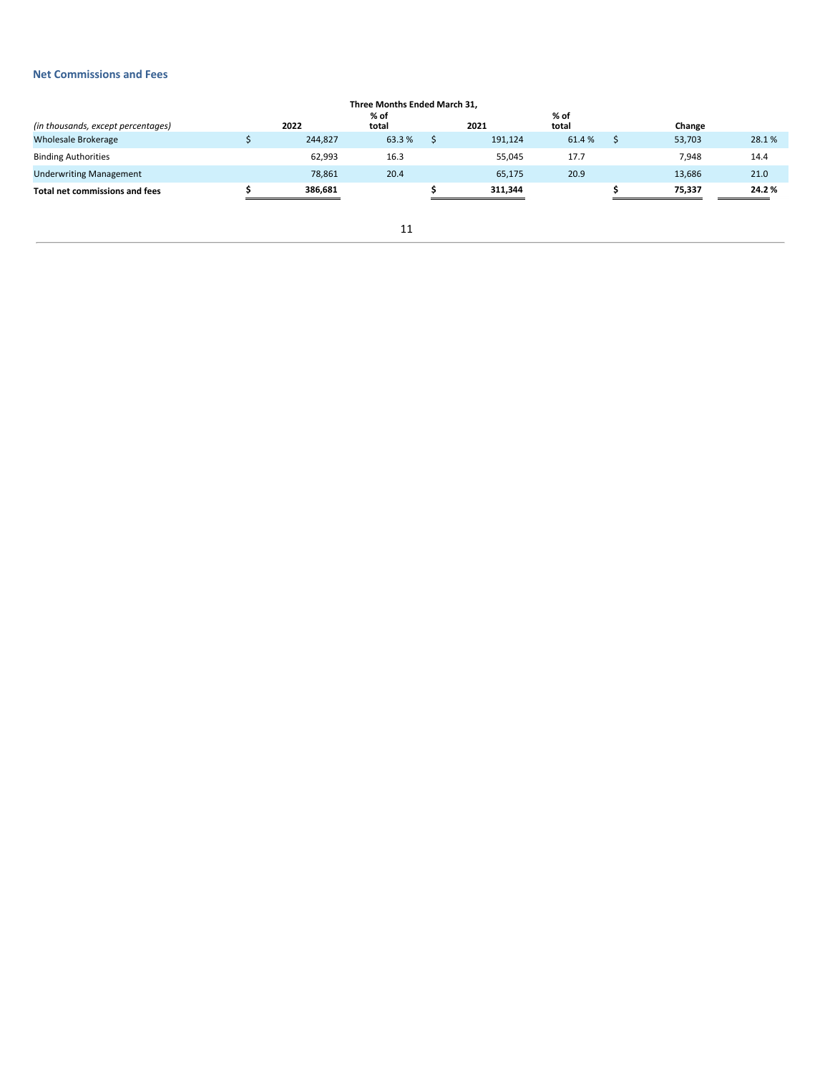# **Net Commissions and Fees**

| Three Months Ended March 31.       |  |         |               |  |         |               |  |        |       |
|------------------------------------|--|---------|---------------|--|---------|---------------|--|--------|-------|
| (in thousands, except percentages) |  | 2022    | % of<br>total |  | 2021    | % of<br>total |  | Change |       |
| <b>Wholesale Brokerage</b>         |  | 244,827 | 63.3%         |  | 191,124 | 61.4%         |  | 53,703 | 28.1% |
| <b>Binding Authorities</b>         |  | 62,993  | 16.3          |  | 55,045  | 17.7          |  | 7,948  | 14.4  |
| <b>Underwriting Management</b>     |  | 78,861  | 20.4          |  | 65,175  | 20.9          |  | 13,686 | 21.0  |
| Total net commissions and fees     |  | 386.681 |               |  | 311.344 |               |  | 75.337 | 24.2% |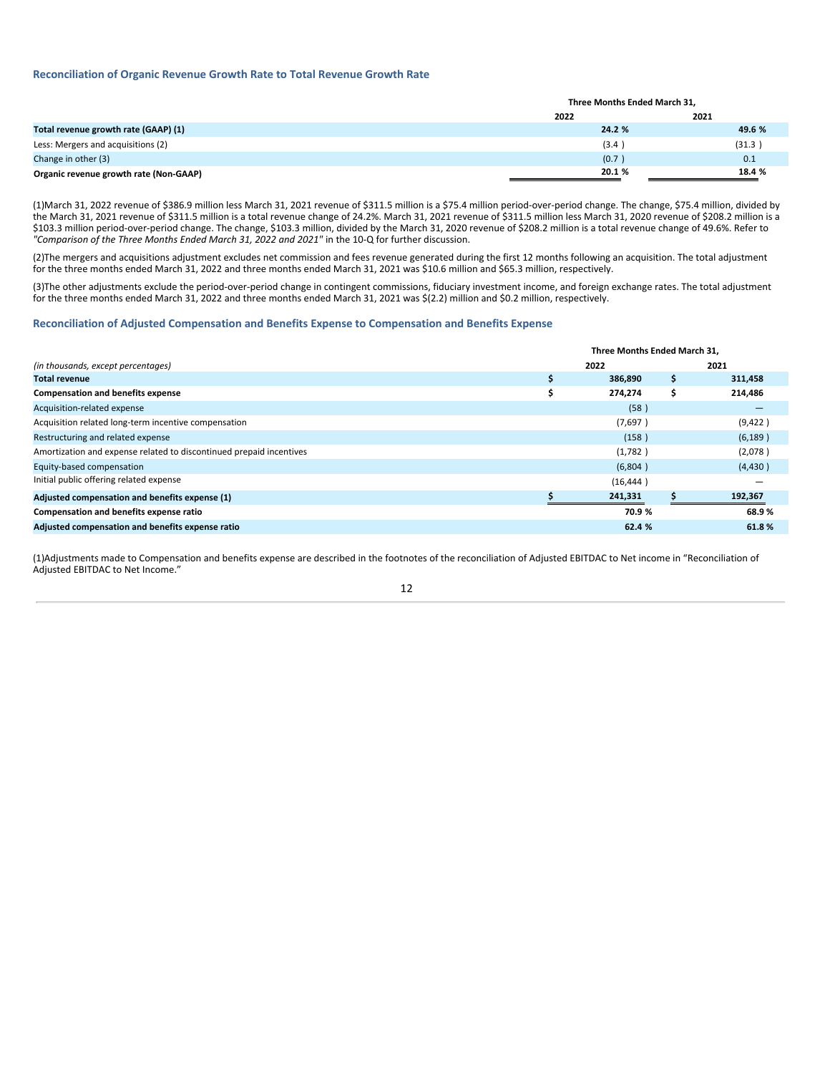# **Reconciliation of Organic Revenue Growth Rate to Total Revenue Growth Rate**

|                                        | Three Months Ended March 31, |        |  |  |
|----------------------------------------|------------------------------|--------|--|--|
|                                        | 2022                         | 2021   |  |  |
| Total revenue growth rate (GAAP) (1)   | 24.2 %                       | 49.6 % |  |  |
| Less: Mergers and acquisitions (2)     | (3.4)                        | (31.3) |  |  |
| Change in other (3)                    | (0.7)                        | 0.1    |  |  |
| Organic revenue growth rate (Non-GAAP) | 20.1%                        | 18.4 % |  |  |

(1)March 31, 2022 revenue of \$386.9 million less March 31, 2021 revenue of \$311.5 million is a \$75.4 million period-over-period change. The change, \$75.4 million, divided by the March 31, 2021 revenue of \$311.5 million is a total revenue change of 24.2%. March 31, 2021 revenue of \$311.5 million less March 31, 2020 revenue of \$208.2 million is a \$103.3 million period-over-period change. The change, \$103.3 million, divided by the March 31, 2020 revenue of \$208.2 million is a total revenue change of 49.6%. Refer to *"Comparison of the Three Months Ended March 31, 2022 and 2021"* in the 10-Q for further discussion.

(2)The mergers and acquisitions adjustment excludes net commission and fees revenue generated during the first 12 months following an acquisition. The total adjustment for the three months ended March 31, 2022 and three months ended March 31, 2021 was \$10.6 million and \$65.3 million, respectively.

(3)The other adjustments exclude the period-over-period change in contingent commissions, fiduciary investment income, and foreign exchange rates. The total adjustment for the three months ended March 31, 2022 and three months ended March 31, 2021 was \$(2.2) million and \$0.2 million, respectively.

#### **Reconciliation of Adjusted Compensation and Benefits Expense to Compensation and Benefits Expense**

|                                                                     | Three Months Ended March 31. |   |          |  |
|---------------------------------------------------------------------|------------------------------|---|----------|--|
| (in thousands, except percentages)                                  | 2022                         |   | 2021     |  |
| <b>Total revenue</b>                                                | 386,890                      | S | 311,458  |  |
| <b>Compensation and benefits expense</b>                            | 274,274                      | S | 214,486  |  |
| Acquisition-related expense                                         | (58)                         |   |          |  |
| Acquisition related long-term incentive compensation                | (7,697)                      |   | (9,422)  |  |
| Restructuring and related expense                                   | (158)                        |   | (6, 189) |  |
| Amortization and expense related to discontinued prepaid incentives | (1,782)                      |   | (2,078)  |  |
| Equity-based compensation                                           | (6,804)                      |   | (4, 430) |  |
| Initial public offering related expense                             | (16, 444)                    |   |          |  |
| Adjusted compensation and benefits expense (1)                      | 241,331                      |   | 192,367  |  |
| <b>Compensation and benefits expense ratio</b>                      | 70.9 %                       |   | 68.9%    |  |
| Adjusted compensation and benefits expense ratio                    | 62.4 %                       |   | 61.8%    |  |

(1)Adjustments made to Compensation and benefits expense are described in the footnotes of the reconciliation of Adjusted EBITDAC to Net income in "Reconciliation of Adjusted EBITDAC to Net Income."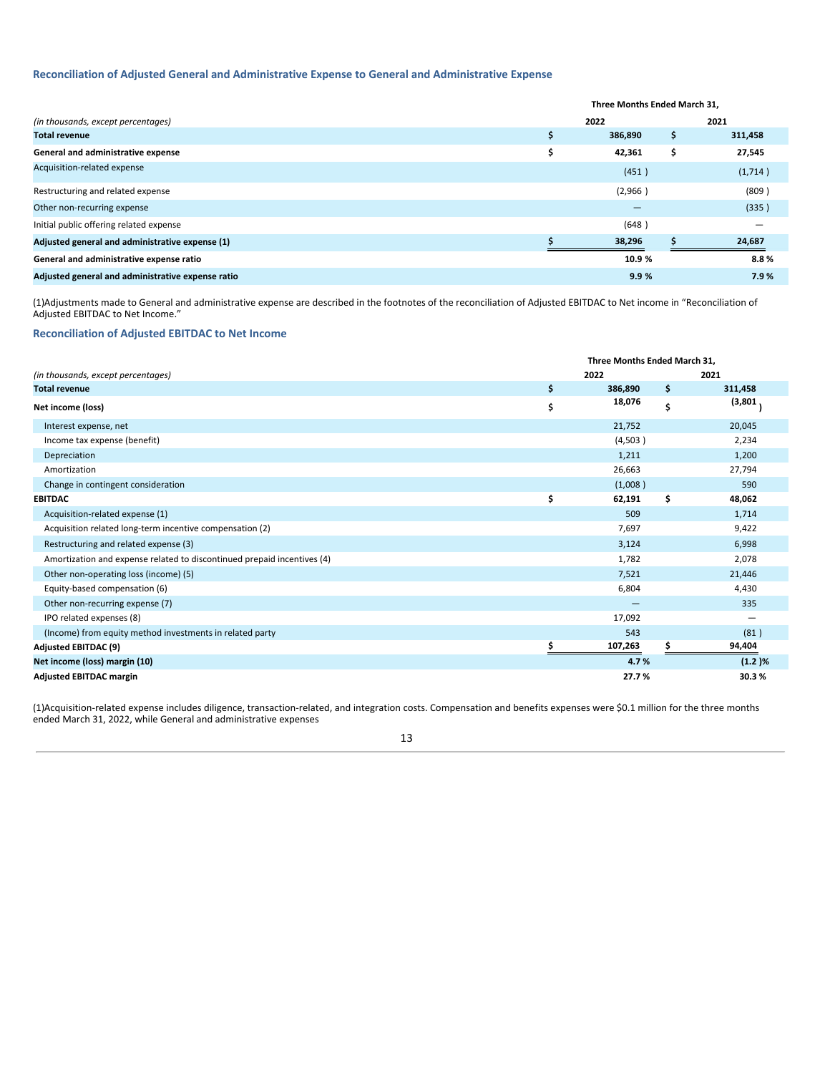# **Reconciliation of Adjusted General and Administrative Expense to General and Administrative Expense**

|                                                   | Three Months Ended March 31, |     |         |  |
|---------------------------------------------------|------------------------------|-----|---------|--|
| (in thousands, except percentages)                | 2022                         |     | 2021    |  |
| <b>Total revenue</b>                              | 386,890                      | \$. | 311,458 |  |
| General and administrative expense                | 42,361                       | S   | 27,545  |  |
| Acquisition-related expense                       | (451)                        |     | (1,714) |  |
| Restructuring and related expense                 | (2,966)                      |     | (809)   |  |
| Other non-recurring expense                       |                              |     | (335)   |  |
| Initial public offering related expense           | (648)                        |     |         |  |
| Adjusted general and administrative expense (1)   | 38,296                       |     | 24,687  |  |
| General and administrative expense ratio          | 10.9 %                       |     | 8.8%    |  |
| Adjusted general and administrative expense ratio | 9.9%                         |     | 7.9%    |  |

(1)Adjustments made to General and administrative expense are described in the footnotes of the reconciliation of Adjusted EBITDAC to Net income in "Reconciliation of Adjusted EBITDAC to Net Income."

# **Reconciliation of Adjusted EBITDAC to Net Income**

|                                                                         | <b>Three Months Ended March 31.</b> |         |    |         |
|-------------------------------------------------------------------------|-------------------------------------|---------|----|---------|
| (in thousands, except percentages)                                      |                                     | 2022    |    | 2021    |
| <b>Total revenue</b>                                                    | \$                                  | 386,890 | \$ | 311,458 |
| Net income (loss)                                                       | \$                                  | 18,076  | \$ | (3,801) |
| Interest expense, net                                                   |                                     | 21,752  |    | 20,045  |
| Income tax expense (benefit)                                            |                                     | (4,503) |    | 2,234   |
| Depreciation                                                            |                                     | 1,211   |    | 1,200   |
| Amortization                                                            |                                     | 26,663  |    | 27,794  |
| Change in contingent consideration                                      |                                     | (1,008) |    | 590     |
| <b>EBITDAC</b>                                                          | \$                                  | 62,191  | \$ | 48,062  |
| Acquisition-related expense (1)                                         |                                     | 509     |    | 1,714   |
| Acquisition related long-term incentive compensation (2)                |                                     | 7,697   |    | 9,422   |
| Restructuring and related expense (3)                                   |                                     | 3,124   |    | 6,998   |
| Amortization and expense related to discontinued prepaid incentives (4) |                                     | 1,782   |    | 2,078   |
| Other non-operating loss (income) (5)                                   |                                     | 7,521   |    | 21,446  |
| Equity-based compensation (6)                                           |                                     | 6,804   |    | 4,430   |
| Other non-recurring expense (7)                                         |                                     |         |    | 335     |
| IPO related expenses (8)                                                |                                     | 17,092  |    |         |
| (Income) from equity method investments in related party                |                                     | 543     |    | (81)    |
| <b>Adjusted EBITDAC (9)</b>                                             |                                     | 107,263 |    | 94,404  |
| Net income (loss) margin (10)                                           |                                     | 4.7%    |    | (1.2)%  |
| <b>Adjusted EBITDAC margin</b>                                          |                                     | 27.7%   |    | 30.3%   |

(1)Acquisition-related expense includes diligence, transaction-related, and integration costs. Compensation and benefits expenses were \$0.1 million for the three months ended March 31, 2022, while General and administrative expenses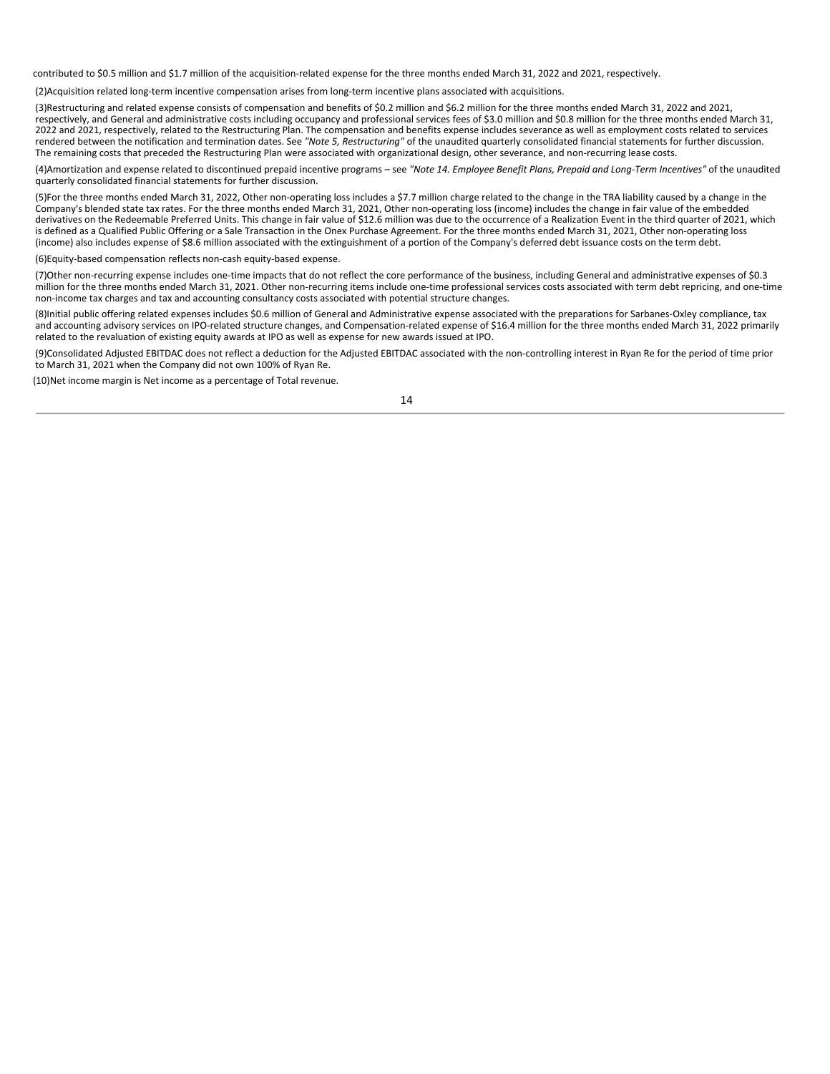contributed to \$0.5 million and \$1.7 million of the acquisition-related expense for the three months ended March 31, 2022 and 2021, respectively.

(2)Acquisition related long-term incentive compensation arises from long-term incentive plans associated with acquisitions.

(3)Restructuring and related expense consists of compensation and benefits of \$0.2 million and \$6.2 million for the three months ended March 31, 2022 and 2021, respectively, and General and administrative costs including occupancy and professional services fees of \$3.0 million and \$0.8 million for the three months ended March 31, 2022 and 2021, respectively, related to the Restructuring Plan. The compensation and benefits expense includes severance as well as employment costs related to services rendered between the notification and termination dates. See *"Note 5, Restructuring"* of the unaudited quarterly consolidated financial statements for further discussion. The remaining costs that preceded the Restructuring Plan were associated with organizational design, other severance, and non-recurring lease costs.

(4) Amortization and expense related to discontinued prepaid incentive programs - see "Note 14. Employee Benefit Plans, Prepaid and Long-Term Incentives" of the unaudited quarterly consolidated financial statements for further discussion.

(5)For the three months ended March 31, 2022, Other non-operating loss includes a \$7.7 million charge related to the change in the TRA liability caused by a change in the Company's blended state tax rates. For the three months ended March 31, 2021, Other non-operating loss (income) includes the change in fair value of the embedded derivatives on the Redeemable Preferred Units. This change in fair value of \$12.6 million was due to the occurrence of a Realization Event in the third quarter of 2021, which is defined as a Qualified Public Offering or a Sale Transaction in the Onex Purchase Agreement. For the three months ended March 31, 2021, Other non-operating loss (income) also includes expense of \$8.6 million associated with the extinguishment of a portion of the Company's deferred debt issuance costs on the term debt.

(6)Equity-based compensation reflects non-cash equity-based expense.

(7)Other non-recurring expense includes one-time impacts that do not reflect the core performance of the business, including General and administrative expenses of \$0.3 million for the three months ended March 31, 2021. Other non-recurring items include one-time professional services costs associated with term debt repricing, and one-time non-income tax charges and tax and accounting consultancy costs associated with potential structure changes.

(8)Initial public offering related expenses includes \$0.6 million of General and Administrative expense associated with the preparations for Sarbanes-Oxley compliance, tax and accounting advisory services on IPO-related structure changes, and Compensation-related expense of \$16.4 million for the three months ended March 31, 2022 primarily related to the revaluation of existing equity awards at IPO as well as expense for new awards issued at IPO.

(9)Consolidated Adjusted EBITDAC does not reflect a deduction for the Adjusted EBITDAC associated with the non-controlling interest in Ryan Re for the period of time prior to March 31, 2021 when the Company did not own 100% of Ryan Re.

(10)Net income margin is Net income as a percentage of Total revenue.

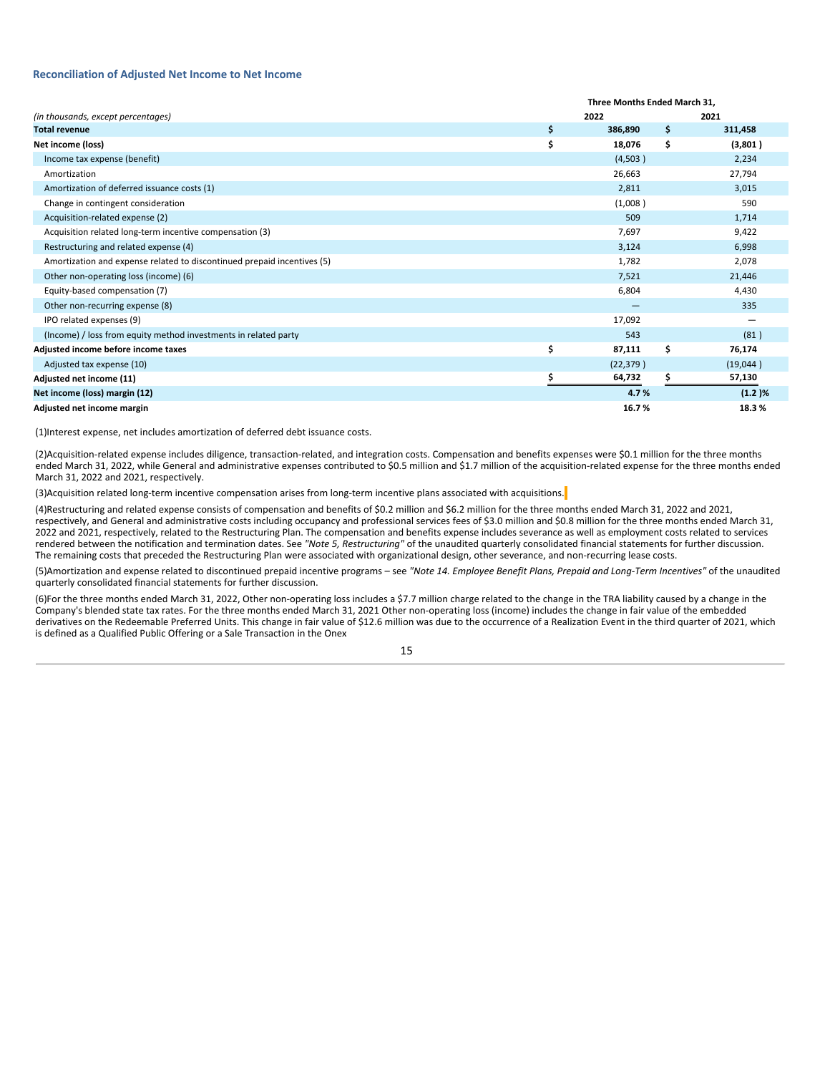#### **Reconciliation of Adjusted Net Income to Net Income**

|                                                                         | Three Months Ended March 31. |        |           |  |  |  |
|-------------------------------------------------------------------------|------------------------------|--------|-----------|--|--|--|
| (in thousands, except percentages)                                      | 2022                         |        | 2021      |  |  |  |
| <b>Total revenue</b>                                                    | \$<br>386,890                | \$     | 311,458   |  |  |  |
| Net income (loss)                                                       | \$<br>18,076                 | \$     | (3,801)   |  |  |  |
| Income tax expense (benefit)                                            | (4,503)                      |        | 2,234     |  |  |  |
| Amortization                                                            | 26,663                       | 27,794 |           |  |  |  |
| Amortization of deferred issuance costs (1)                             | 2,811                        | 3,015  |           |  |  |  |
| Change in contingent consideration                                      | (1,008)                      |        | 590       |  |  |  |
| Acquisition-related expense (2)                                         | 509                          |        | 1,714     |  |  |  |
| Acquisition related long-term incentive compensation (3)                | 7,697                        |        | 9,422     |  |  |  |
| Restructuring and related expense (4)                                   | 3,124                        |        | 6,998     |  |  |  |
| Amortization and expense related to discontinued prepaid incentives (5) | 1,782                        |        | 2,078     |  |  |  |
| Other non-operating loss (income) (6)                                   | 7,521                        |        | 21,446    |  |  |  |
| Equity-based compensation (7)                                           | 6,804                        |        | 4,430     |  |  |  |
| Other non-recurring expense (8)                                         |                              |        | 335       |  |  |  |
| IPO related expenses (9)                                                | 17,092                       |        |           |  |  |  |
| (Income) / loss from equity method investments in related party         | 543                          |        | (81)      |  |  |  |
| Adjusted income before income taxes                                     | \$<br>87,111                 | \$.    | 76,174    |  |  |  |
| Adjusted tax expense (10)                                               | (22, 379)                    |        | (19,044)  |  |  |  |
| Adjusted net income (11)                                                | 64,732                       |        | 57,130    |  |  |  |
| Net income (loss) margin (12)                                           | 4.7%                         |        | $(1.2)$ % |  |  |  |
| Adjusted net income margin                                              | 16.7%                        |        | 18.3%     |  |  |  |

(1)Interest expense, net includes amortization of deferred debt issuance costs.

(2)Acquisition-related expense includes diligence, transaction-related, and integration costs. Compensation and benefits expenses were \$0.1 million for the three months ended March 31, 2022, while General and administrative expenses contributed to \$0.5 million and \$1.7 million of the acquisition-related expense for the three months ended March 31, 2022 and 2021, respectively.

(3)Acquisition related long-term incentive compensation arises from long-term incentive plans associated with acquisitions.

(4)Restructuring and related expense consists of compensation and benefits of \$0.2 million and \$6.2 million for the three months ended March 31, 2022 and 2021, respectively, and General and administrative costs including occupancy and professional services fees of \$3.0 million and \$0.8 million for the three months ended March 31, 2022 and 2021, respectively, related to the Restructuring Plan. The compensation and benefits expense includes severance as well as employment costs related to services rendered between the notification and termination dates. See *"Note 5, Restructuring"* of the unaudited quarterly consolidated financial statements for further discussion. The remaining costs that preceded the Restructuring Plan were associated with organizational design, other severance, and non-recurring lease costs.

(5) Amortization and expense related to discontinued prepaid incentive programs - see "Note 14. Employee Benefit Plans, Prepaid and Long-Term Incentives" of the unaudited quarterly consolidated financial statements for further discussion.

(6)For the three months ended March 31, 2022, Other non-operating loss includes a \$7.7 million charge related to the change in the TRA liability caused by a change in the Company's blended state tax rates. For the three months ended March 31, 2021 Other non-operating loss (income) includes the change in fair value of the embedded derivatives on the Redeemable Preferred Units. This change in fair value of \$12.6 million was due to the occurrence of a Realization Event in the third quarter of 2021, which is defined as a Qualified Public Offering or a Sale Transaction in the Onex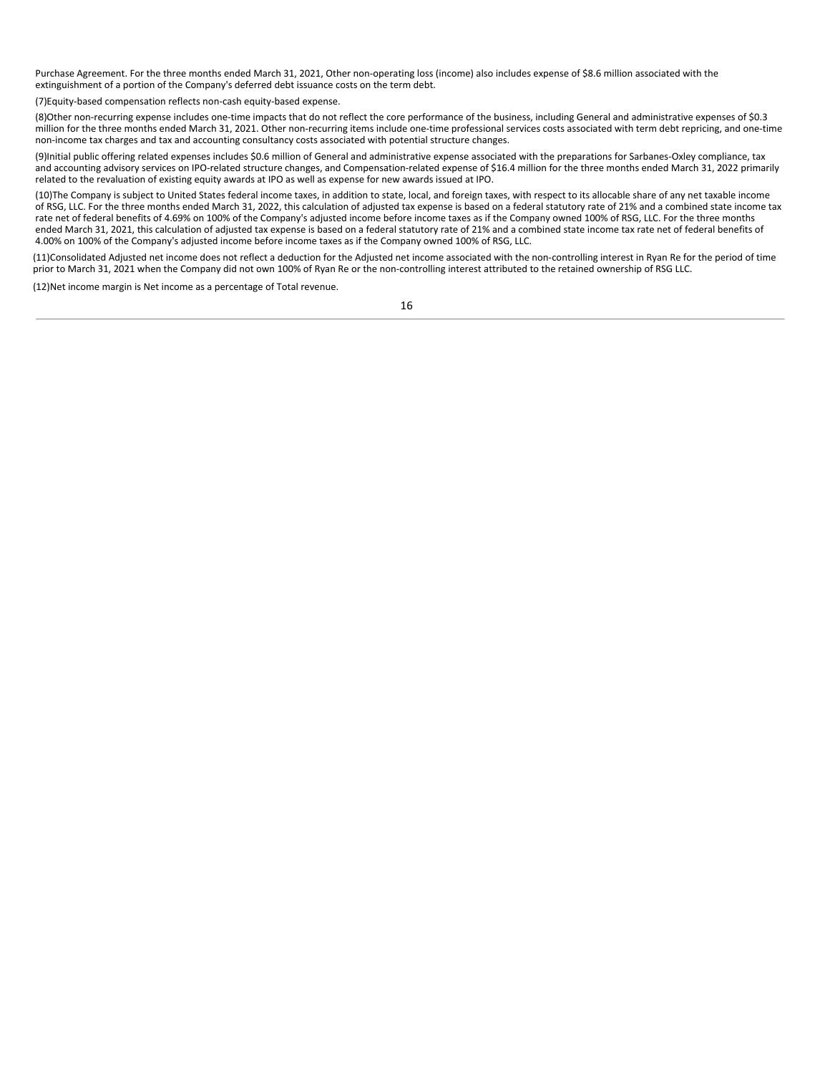Purchase Agreement. For the three months ended March 31, 2021, Other non-operating loss (income) also includes expense of \$8.6 million associated with the extinguishment of a portion of the Company's deferred debt issuance costs on the term debt.

(7)Equity-based compensation reflects non-cash equity-based expense.

(8)Other non-recurring expense includes one-time impacts that do not reflect the core performance of the business, including General and administrative expenses of \$0.3 million for the three months ended March 31, 2021. Other non-recurring items include one-time professional services costs associated with term debt repricing, and one-time non-income tax charges and tax and accounting consultancy costs associated with potential structure changes.

(9)Initial public offering related expenses includes \$0.6 million of General and administrative expense associated with the preparations for Sarbanes-Oxley compliance, tax and accounting advisory services on IPO-related structure changes, and Compensation-related expense of \$16.4 million for the three months ended March 31, 2022 primarily related to the revaluation of existing equity awards at IPO as well as expense for new awards issued at IPO.

(10)The Company is subject to United States federal income taxes, in addition to state, local, and foreign taxes, with respect to its allocable share of any net taxable income of RSG, LLC. For the three months ended March 31, 2022, this calculation of adjusted tax expense is based on a federal statutory rate of 21% and a combined state income tax rate net of federal benefits of 4.69% on 100% of the Company's adjusted income before income taxes as if the Company owned 100% of RSG, LLC. For the three months ended March 31, 2021, this calculation of adjusted tax expense is based on a federal statutory rate of 21% and a combined state income tax rate net of federal benefits of 4.00% on 100% of the Company's adjusted income before income taxes as if the Company owned 100% of RSG, LLC.

(11)Consolidated Adjusted net income does not reflect a deduction for the Adjusted net income associated with the non-controlling interest in Ryan Re for the period of time prior to March 31, 2021 when the Company did not own 100% of Ryan Re or the non-controlling interest attributed to the retained ownership of RSG LLC.

(12)Net income margin is Net income as a percentage of Total revenue.